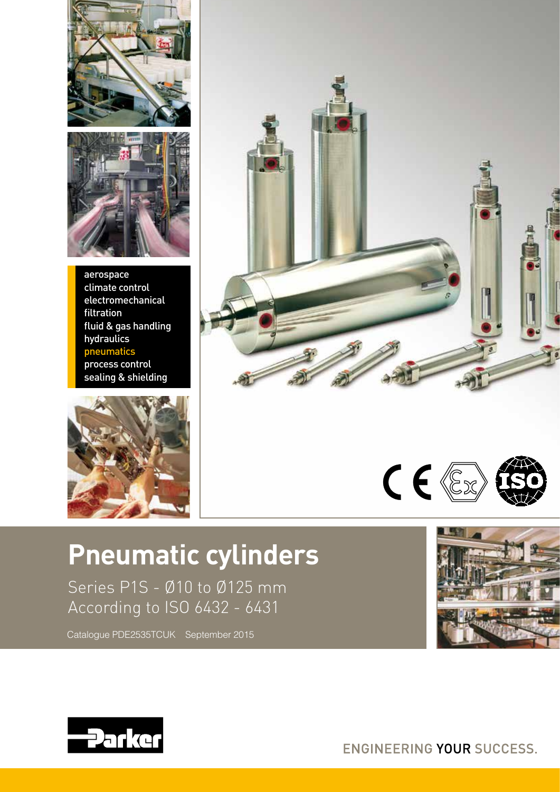



aerospace climate control electromechanical filtration fluid & gas handling hydraulics pneumatics process control sealing & shielding





# $C \in \mathbb{Z}$

# **Pneumatic cylinders**

Series P1S - Ø10 to Ø125 mm According to ISO 6432 - 6431

Catalogue PDE2535TCUK September 2015





ENGINEERING YOUR SUCCESS.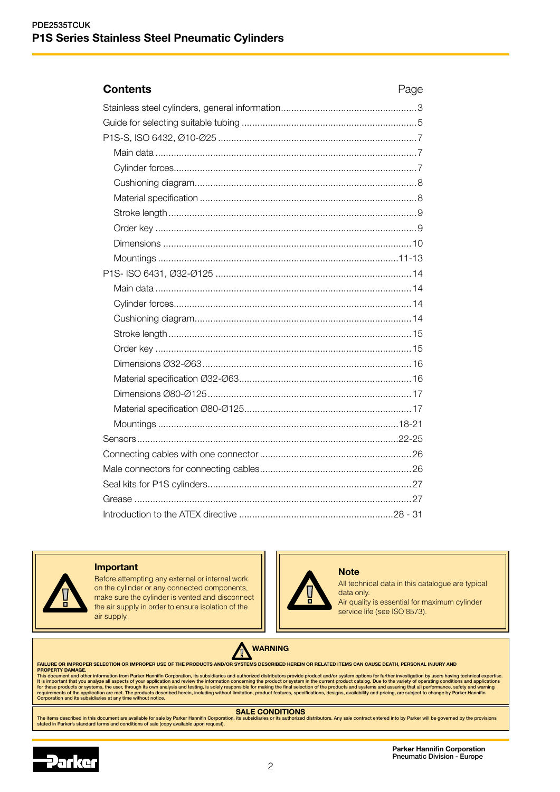# **Contents** Page Stainless steel cylinders, general information....................................................3 Guide for selecting suitable tubing ...................................................................5 P1S-S, ISO 6432, Ø10-Ø25 ............................................................................7 Main data ....................................................................................................7 Cylinder forces.............................................................................................7 Cushioning diagram.....................................................................................8 Material specification ...................................................................................8 Stroke length...............................................................................................9 Order key ....................................................................................................9 Dimensions ...............................................................................................10 Mountings ............................................................................................11-13 P1S- ISO 6431, Ø32-Ø125 ...........................................................................14 Main data ..................................................................................................14 Cylinder forces...........................................................................................14 Cushioning diagram...................................................................................14 Stroke length.............................................................................................15

Introduction to the ATEX directive ...........................................................28 - 31



#### Important

Before attempting any external or internal work on the cylinder or any connected components, make sure the cylinder is vented and disconnect the air supply in order to ensure isolation of the air supply.



**Note** 

All technical data in this catalogue are typical data only.

Air quality is essential for maximum cylinder service life (see ISO 8573).



FAILURE OR IMPROPER SELECTION OR IMPROPER USE OF THE PRODUCTS AND/OR SYSTEMS DESCRIBED HEREIN OR RELATED ITEMS CAN CAUSE DEATH, PERSONAL INJURY AND

PROPERTY DAMAGE.<br>This document and other information from Parker Hannifin Corporation, its subsidiaries and authorized distributors provide product and/or system options for further investigation by users having technical

# **SALE CONDITIONS**<br>Lits subsidiaries or its authorized distributors. Any sale contract entered into by Parker will be go.

The items described in this document are available for sale by Parker Hannifin Corporation, its subsidiaries or its authorized distributors. Any sale contract entered into by Parker will be governed by the provisions<br>state



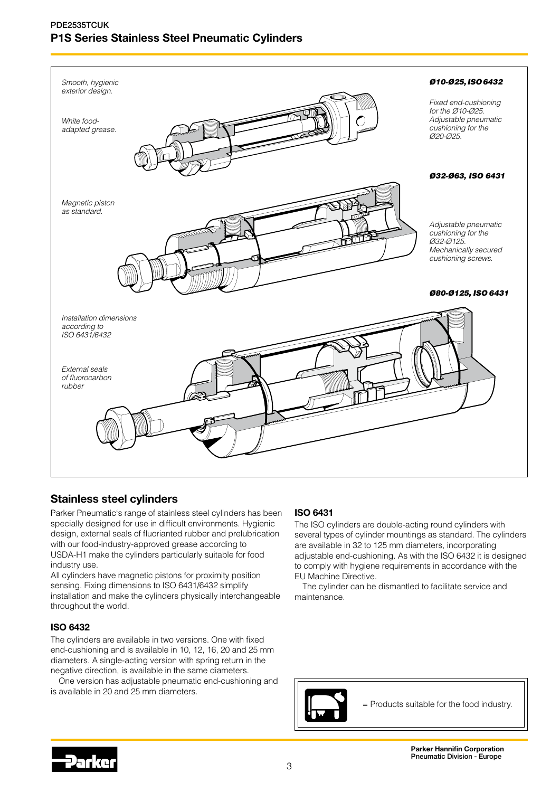

# Stainless steel cylinders

Parker Pneumatic's range of stainless steel cylinders has been specially designed for use in difficult environments. Hygienic design, external seals of fluorianted rubber and prelubrication with our food-industry-approved grease according to USDA-H1 make the cylinders particularly suitable for food industry use.

All cylinders have magnetic pistons for proximity position sensing. Fixing dimensions to ISO 6431/6432 simplify installation and make the cylinders physically interchangeable throughout the world.

# ISO 6432

The cylinders are available in two versions. One with fixed end-cushioning and is available in 10, 12, 16, 20 and 25 mm diameters. A single-acting version with spring return in the negative direction, is available in the same diameters.

One version has adjustable pneumatic end-cushioning and is available in 20 and 25 mm diameters.

# ISO 6431

The ISO cylinders are double-acting round cylinders with several types of cylinder mountings as standard. The cylinders are available in 32 to 125 mm diameters, incorporating adjustable end-cushioning. As with the ISO 6432 it is designed to comply with hygiene requirements in accordance with the EU Machine Directive.

The cylinder can be dismantled to facilitate service and maintenance.



= Products suitable for the food industry.

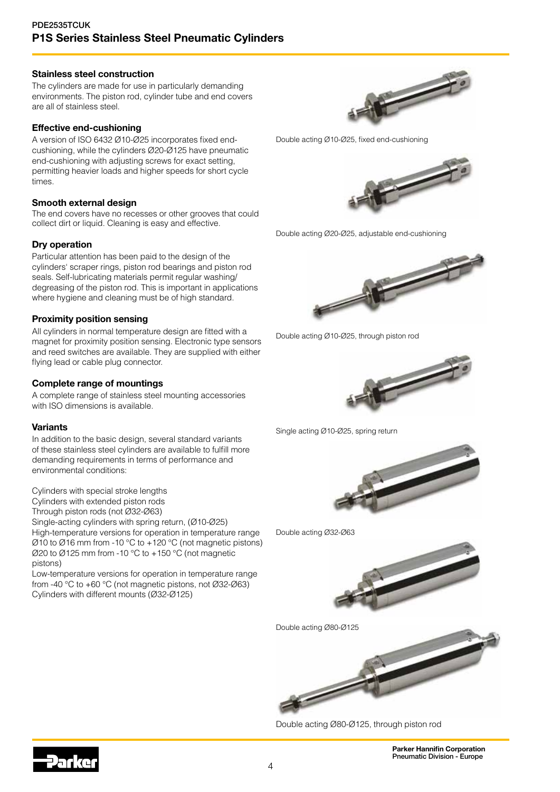### Stainless steel construction

The cylinders are made for use in particularly demanding environments. The piston rod, cylinder tube and end covers are all of stainless steel.

## Effective end-cushioning

A version of ISO 6432 Ø10-Ø25 incorporates fixed endcushioning, while the cylinders Ø20-Ø125 have pneumatic end-cushioning with adjusting screws for exact setting, permitting heavier loads and higher speeds for short cycle times.

## Smooth external design

The end covers have no recesses or other grooves that could collect dirt or liquid. Cleaning is easy and effective.

# Dry operation

Particular attention has been paid to the design of the cylinders' scraper rings, piston rod bearings and piston rod seals. Self-lubricating materials permit regular washing/ degreasing of the piston rod. This is important in applications where hygiene and cleaning must be of high standard.

## Proximity position sensing

All cylinders in normal temperature design are fitted with a magnet for proximity position sensing. Electronic type sensors and reed switches are available. They are supplied with either flying lead or cable plug connector.

## Complete range of mountings

A complete range of stainless steel mounting accessories with ISO dimensions is available.

### Variants

In addition to the basic design, several standard variants of these stainless steel cylinders are available to fulfill more demanding requirements in terms of performance and environmental conditions:

Cylinders with special stroke lengths

Cylinders with extended piston rods

Through piston rods (not Ø32-Ø63)

Single-acting cylinders with spring return, (Ø10-Ø25) High-temperature versions for operation in temperature range

Ø10 to Ø16 mm from -10 °C to +120 °C (not magnetic pistons)  $\emptyset$ 20 to  $\emptyset$ 125 mm from -10 °C to +150 °C (not magnetic pistons)

Low-temperature versions for operation in temperature range from -40 °C to +60 °C (not magnetic pistons, not Ø32-Ø63) Cylinders with different mounts (Ø32-Ø125)



Double acting Ø10-Ø25, fixed end-cushioning



Double acting Ø20-Ø25, adjustable end-cushioning



Double acting Ø10-Ø25, through piston rod



Single acting Ø10-Ø25, spring return









Double acting Ø80-Ø125, through piston rod

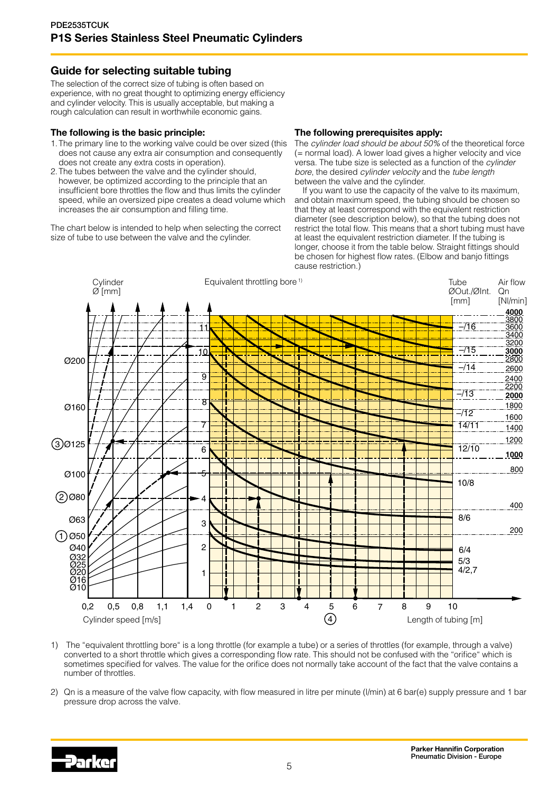# Guide for selecting suitable tubing

The selection of the correct size of tubing is often based on experience, with no great thought to optimizing energy efficiency and cylinder velocity. This is usually acceptable, but making a rough calculation can result in worthwhile economic gains.

# The following is the basic principle:

- 1.The primary line to the working valve could be over sized (this does not cause any extra air consumption and consequently does not create any extra costs in operation).
- 2.The tubes between the valve and the cylinder should, however, be optimized according to the principle that an insufficient bore throttles the flow and thus limits the cylinder speed, while an oversized pipe creates a dead volume which increases the air consumption and filling time.

The chart below is intended to help when selecting the correct size of tube to use between the valve and the cylinder.

## The following prerequisites apply:

The *cylinder load should be about 50%* of the theoretical force (= normal load). A lower load gives a higher velocity and vice versa. The tube size is selected as a function of the *cylinder bore*, the desired *cylinder velocity* and the *tube length* between the valve and the cylinder.

If you want to use the capacity of the valve to its maximum, and obtain maximum speed, the tubing should be chosen so that they at least correspond with the equivalent restriction diameter (see description below), so that the tubing does not restrict the total flow. This means that a short tubing must have at least the equivalent restriction diameter. If the tubing is longer, choose it from the table below. Straight fittings should be chosen for highest flow rates. (Elbow and banjo fittings cause restriction.)



1) The "equivalent throttling bore" is a long throttle (for example a tube) or a series of throttles (for example, through a valve) converted to a short throttle which gives a corresponding flow rate. This should not be confused with the "orifice" which is sometimes specified for valves. The value for the orifice does not normally take account of the fact that the valve contains a number of throttles.

2) Qn is a measure of the valve flow capacity, with flow measured in litre per minute (l/min) at 6 bar(e) supply pressure and 1 bar pressure drop across the valve.

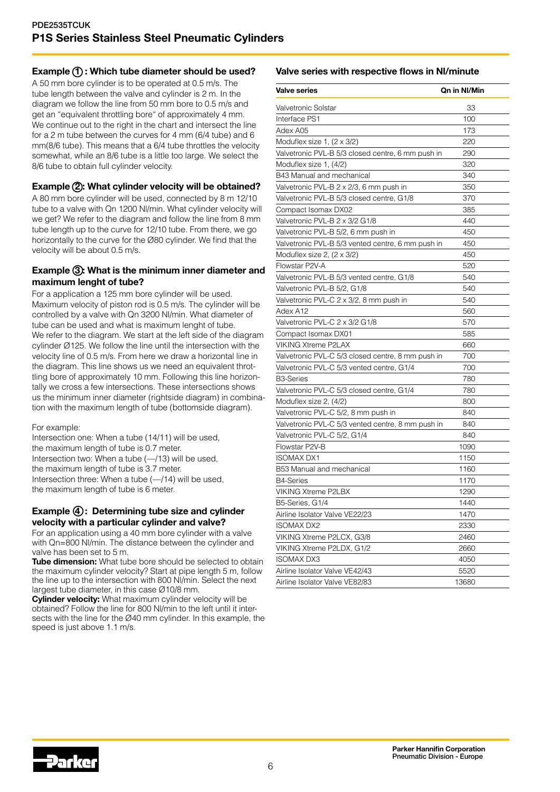# Example  $(1)$ : Which tube diameter should be used?

A 50 mm bore cylinder is to be operated at 0.5 m/s. The tube length between the valve and cylinder is 2 m. In the diagram we follow the line from 50 mm bore to 0.5 m/s and get an "equivalent throttling bore" of approximately 4 mm. We continue out to the right in the chart and intersect the line for a 2 m tube between the curves for 4 mm (6/4 tube) and 6 mm(8/6 tube). This means that a 6/4 tube throttles the velocity somewhat, while an 8/6 tube is a little too large. We select the 8/6 tube to obtain full cylinder velocity.

# Example (2): What cylinder velocity will be obtained?

A 80 mm bore cylinder will be used, connected by 8 m 12/10 tube to a valve with Qn 1200 Nl/min. What cylinder velocity will we get? We refer to the diagram and follow the line from 8 mm tube length up to the curve for 12/10 tube. From there, we go horizontally to the curve for the Ø80 cylinder. We find that the velocity will be about 0.5 m/s.

# Example 3: What is the minimum inner diameter and maximum lenght of tube?

For a application a 125 mm bore cylinder will be used. Maximum velocity of piston rod is 0.5 m/s. The cylinder will be controlled by a valve with Qn 3200 Nl/min. What diameter of tube can be used and what is maximum lenght of tube. We refer to the diagram. We start at the left side of the diagram cylinder Ø125. We follow the line until the intersection with the velocity line of 0.5 m/s. From here we draw a horizontal line in the diagram. This line shows us we need an equivalent throttling bore of approximately 10 mm. Following this line horizontally we cross a few intersections. These intersections shows us the minimum inner diameter (rightside diagram) in combination with the maximum length of tube (bottomside diagram).

For example:

Intersection one: When a tube (14/11) will be used, the maximum length of tube is 0.7 meter. Intersection two: When a tube (—/13) will be used, the maximum length of tube is 3.7 meter. Intersection three: When a tube (—/14) will be used, the maximum length of tube is 6 meter.

# Example 4: Determining tube size and cylinder velocity with a particular cylinder and valve?

For an application using a 40 mm bore cylinder with a valve with Qn=800 Nl/min. The distance between the cylinder and valve has been set to 5 m.

Tube dimension: What tube bore should be selected to obtain the maximum cylinder velocity? Start at pipe length 5 m, follow the line up to the intersection with 800 Nl/min. Select the next largest tube diameter, in this case Ø10/8 mm.

**Cylinder velocity:** What maximum cylinder velocity will be obtained? Follow the line for 800 Nl/min to the left until it intersects with the line for the Ø40 mm cylinder. In this example, the speed is just above 1.1 m/s.

Valve series with respective flows in Nl/minute

| <b>Valve series</b>                               | Qn in NI/Min |
|---------------------------------------------------|--------------|
| Valvetronic Solstar                               | 33           |
| Interface PS1                                     | 100          |
| Adex A05                                          | 173          |
| Moduflex size 1, $(2 \times 3/2)$                 | 220          |
| Valvetronic PVL-B 5/3 closed centre, 6 mm push in | 290          |
| Moduflex size 1, (4/2)                            | 320          |
| B43 Manual and mechanical                         | 340          |
| Valvetronic PVL-B 2 x 2/3, 6 mm push in           | 350          |
| Valvetronic PVL-B 5/3 closed centre, G1/8         | 370          |
| Compact Isomax DX02                               | 385          |
| Valvetronic PVL-B 2 x 3/2 G1/8                    | 440          |
| Valvetronic PVL-B 5/2, 6 mm push in               | 450          |
| Valvetronic PVL-B 5/3 vented centre, 6 mm push in | 450          |
| Moduflex size 2, $(2 \times 3/2)$                 | 450          |
| Flowstar P2V-A                                    | 520          |
| Valvetronic PVL-B 5/3 vented centre, G1/8         | 540          |
| Valvetronic PVL-B 5/2, G1/8                       | 540          |
| Valvetronic PVL-C 2 x 3/2, 8 mm push in           | 540          |
| Adex A12                                          | 560          |
| Valvetronic PVL-C 2 x 3/2 G1/8                    | 570          |
| Compact Isomax DX01                               | 585          |
| <b>VIKING Xtreme P2LAX</b>                        | 660          |
| Valvetronic PVL-C 5/3 closed centre, 8 mm push in | 700          |
| Valvetronic PVL-C 5/3 vented centre, G1/4         | 700          |
| <b>B3-Series</b>                                  | 780          |
| Valvetronic PVL-C 5/3 closed centre, G1/4         | 780          |
| Moduflex size 2, (4/2)                            | 800          |
| Valvetronic PVL-C 5/2, 8 mm push in               | 840          |
| Valvetronic PVL-C 5/3 vented centre, 8 mm push in | 840          |
| Valvetronic PVL-C 5/2, G1/4                       | 840          |
| Flowstar P2V-B                                    | 1090         |
| <b>ISOMAX DX1</b>                                 | 1150         |
| B53 Manual and mechanical                         | 1160         |
| <b>B4-Series</b>                                  | 1170         |
| <b>VIKING Xtreme P2LBX</b>                        | 1290         |
| B5-Series, G1/4                                   | 1440         |
| Airline Isolator Valve VE22/23                    | 1470         |
| ISOMAX DX2                                        | 2330         |
| VIKING Xtreme P2LCX, G3/8                         | 2460         |
| VIKING Xtreme P2LDX, G1/2                         | 2660         |
| <b>ISOMAX DX3</b>                                 | 4050         |
| Airline Isolator Valve VE42/43                    | 5520         |
| Airline Isolator Valve VE82/83                    | 13680        |

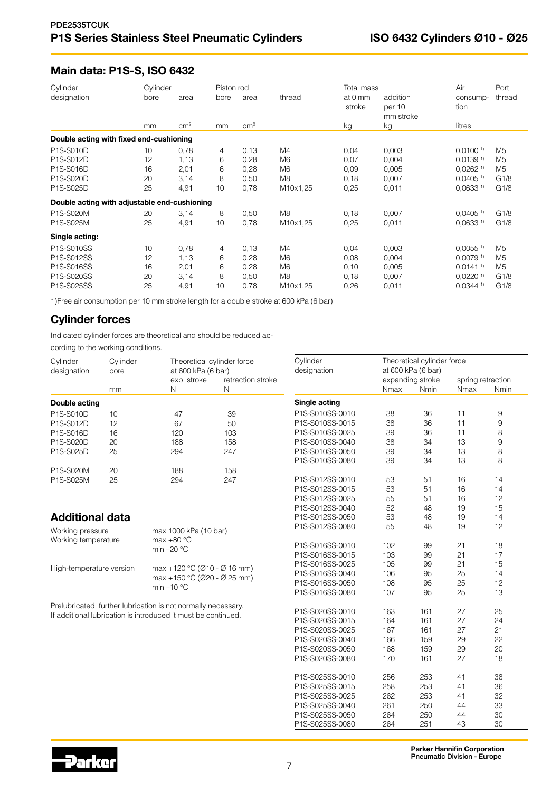# Main data: P1S-S, ISO 6432

| Cylinder                                     | Cylinder |                 | Piston rod |                 |                | Total mass        |                                 | Air                    | Port   |
|----------------------------------------------|----------|-----------------|------------|-----------------|----------------|-------------------|---------------------------------|------------------------|--------|
| designation                                  | bore     | area            | bore       | area            | thread         | at 0 mm<br>stroke | addition<br>per 10<br>mm stroke | consump-<br>tion       | thread |
|                                              | mm       | cm <sup>2</sup> | mm         | cm <sup>2</sup> |                | kg                | kg                              | litres                 |        |
| Double acting with fixed end-cushioning      |          |                 |            |                 |                |                   |                                 |                        |        |
| P1S-S010D                                    | 10       | 0,78            | 4          | 0,13            | M4             | 0,04              | 0,003                           | $0,0100$ <sup>1)</sup> | M5     |
| P1S-S012D                                    | 12       | 1,13            | 6          | 0,28            | M <sub>6</sub> | 0,07              | 0,004                           | $0.0139$ <sup>1)</sup> | M5     |
| P1S-S016D                                    | 16       | 2,01            | 6          | 0,28            | M6             | 0,09              | 0.005                           | $0.0262$ <sup>1)</sup> | M5     |
| P1S-S020D                                    | 20       | 3,14            | 8          | 0,50            | M <sub>8</sub> | 0,18              | 0,007                           | $0.0405$ <sup>1)</sup> | G1/8   |
| P1S-S025D                                    | 25       | 4,91            | 10         | 0,78            | M10x1,25       | 0.25              | 0,011                           | $0,0633$ <sup>1)</sup> | G1/8   |
| Double acting with adjustable end-cushioning |          |                 |            |                 |                |                   |                                 |                        |        |
| P1S-S020M                                    | 20       | 3,14            | 8          | 0,50            | M <sub>8</sub> | 0,18              | 0,007                           | $0.0405$ <sup>1)</sup> | G1/8   |
| P1S-S025M                                    | 25       | 4,91            | 10         | 0.78            | M10x1,25       | 0.25              | 0,011                           | 0.0633 <sup>1</sup>    | G1/8   |
| Single acting:                               |          |                 |            |                 |                |                   |                                 |                        |        |
| P1S-S010SS                                   | 10       | 0,78            | 4          | 0,13            | M4             | 0,04              | 0,003                           | $0,0055$ <sup>1)</sup> | M5     |
| P1S-S012SS                                   | 12       | 1,13            | 6          | 0,28            | M <sub>6</sub> | 0,08              | 0,004                           | $0.0079$ <sup>1)</sup> | M5     |
| P1S-S016SS                                   | 16       | 2,01            | 6          | 0,28            | M6             | 0,10              | 0,005                           | $0.0141^{11}$          | M5     |
| P1S-S020SS                                   | 20       | 3,14            | 8          | 0,50            | M8             | 0,18              | 0,007                           | $0,0220$ <sup>1)</sup> | G1/8   |
| P1S-S025SS                                   | 25       | 4,91            | 10         | 0,78            | M10x1,25       | 0,26              | 0,011                           | $0.0344$ <sup>1)</sup> | G1/8   |

1)Free air consumption per 10 mm stroke length for a double stroke at 600 kPa (6 bar)

# Cylinder forces

Indicated cylinder forces are theoretical and should be reduced ac-

cording to the working conditions.

| Cylinder                                            | Cylinder         | Theoretical cylinder force                                    |                        | Cylinder        | Theoretical cylinder force<br>at 600 kPa (6 bar) |                                 |      |                           |  |  |  |
|-----------------------------------------------------|------------------|---------------------------------------------------------------|------------------------|-----------------|--------------------------------------------------|---------------------------------|------|---------------------------|--|--|--|
| designation                                         | bore             | at 600 kPa (6 bar)                                            |                        | designation     |                                                  |                                 |      |                           |  |  |  |
|                                                     | mm               | exp. stroke<br>N                                              | retraction stroke<br>N |                 | Nmax                                             | expanding stroke<br><b>Nmin</b> | Nmax | spring retraction<br>Nmin |  |  |  |
| Double acting                                       |                  |                                                               | Single acting          |                 |                                                  |                                 |      |                           |  |  |  |
| P1S-S010D                                           | 10               | 47                                                            | 39                     | P1S-S010SS-0010 | 38                                               | 36                              | 11   | 9                         |  |  |  |
| P1S-S012D                                           | 12               | 67                                                            | 50                     | P1S-S010SS-0015 | 38                                               | 36                              | 11   | 9                         |  |  |  |
| P1S-S016D                                           | 16               | 120                                                           | 103                    | P1S-S010SS-0025 | 39                                               | 36                              | 11   | 8                         |  |  |  |
| P1S-S020D                                           | 20               | 188                                                           | 158                    | P1S-S010SS-0040 | 38                                               | 34                              | 13   | 9                         |  |  |  |
| P1S-S025D                                           | 25<br>294<br>247 |                                                               |                        | P1S-S010SS-0050 | 39                                               | 34                              | 13   | 8                         |  |  |  |
|                                                     |                  |                                                               |                        | P1S-S010SS-0080 | 39                                               | 34                              | 13   | 8                         |  |  |  |
| P1S-S020M                                           | 20               | 188                                                           | 158                    |                 |                                                  |                                 |      |                           |  |  |  |
| P1S-S025M                                           | 25               | 294                                                           | 247                    | P1S-S012SS-0010 | 53                                               | 51                              | 16   | 14                        |  |  |  |
|                                                     |                  |                                                               |                        | P1S-S012SS-0015 | 53                                               | 51                              | 16   | 14                        |  |  |  |
|                                                     |                  |                                                               |                        | P1S-S012SS-0025 | 55                                               | 51                              | 16   | 12                        |  |  |  |
|                                                     |                  |                                                               |                        | P1S-S012SS-0040 | 52                                               | 48                              | 19   | 15                        |  |  |  |
| <b>Additional data</b>                              |                  |                                                               |                        | P1S-S012SS-0050 | 53                                               | 48                              | 19   | 14                        |  |  |  |
|                                                     |                  |                                                               |                        | P1S-S012SS-0080 | 55                                               | 48                              | 19   | 12                        |  |  |  |
| Working pressure                                    |                  | max 1000 kPa (10 bar)                                         |                        |                 |                                                  |                                 |      |                           |  |  |  |
| max $+80 °C$<br>Working temperature<br>min $-20$ °C |                  |                                                               |                        | P1S-S016SS-0010 | 102                                              | 99                              | 21   | 18                        |  |  |  |
|                                                     |                  |                                                               | P1S-S016SS-0015        | 103             | 99                                               | 21                              | 17   |                           |  |  |  |
|                                                     |                  |                                                               |                        | P1S-S016SS-0025 | 105                                              | 99                              | 21   | 15                        |  |  |  |
| High-temperature version                            |                  | max +120 °C ( $\emptyset$ 10 - $\emptyset$ 16 mm)             |                        | P1S-S016SS-0040 | 106                                              | 95                              | 25   | 14                        |  |  |  |
|                                                     |                  | max +150 °C (Ø20 - Ø 25 mm)                                   |                        | P1S-S016SS-0050 | 108                                              | 95                              | 25   | 12                        |  |  |  |
|                                                     |                  | min $-10$ °C                                                  |                        | P1S-S016SS-0080 | 107                                              | 95                              | 25   | 13                        |  |  |  |
|                                                     |                  | Prelubricated, further lubrication is not normally necessary. |                        | P1S-S020SS-0010 | 163                                              | 161                             | 27   | 25                        |  |  |  |
|                                                     |                  | If additional lubrication is introduced it must be continued. |                        | P1S-S020SS-0015 | 164                                              | 161                             | 27   | 24                        |  |  |  |
|                                                     |                  |                                                               |                        | P1S-S020SS-0025 | 167                                              | 161                             | 27   | 21                        |  |  |  |
|                                                     |                  |                                                               |                        | P1S-S020SS-0040 | 166                                              | 159                             | 29   | 22                        |  |  |  |
|                                                     |                  |                                                               |                        | P1S-S020SS-0050 | 168                                              | 159                             | 29   | 20                        |  |  |  |
|                                                     |                  |                                                               |                        | P1S-S020SS-0080 | 170                                              | 161                             | 27   | 18                        |  |  |  |
|                                                     |                  |                                                               |                        |                 |                                                  |                                 |      |                           |  |  |  |
|                                                     |                  |                                                               |                        | P1S-S025SS-0010 | 256                                              | 253                             | 41   | 38                        |  |  |  |
|                                                     |                  |                                                               |                        | P1S-S025SS-0015 | 258                                              | 253                             | 41   | 36                        |  |  |  |
|                                                     |                  |                                                               |                        | P1S-S025SS-0025 | 262                                              | 253                             | 41   | 32                        |  |  |  |
|                                                     |                  |                                                               |                        | P1S-S025SS-0040 | 261                                              | 250                             | 44   | 33                        |  |  |  |
|                                                     |                  |                                                               |                        | P1S-S025SS-0050 | 264                                              | 250                             | 44   | 30                        |  |  |  |
|                                                     |                  |                                                               |                        | P1S-S025SS-0080 | 264                                              | 251                             | 43   | 30                        |  |  |  |

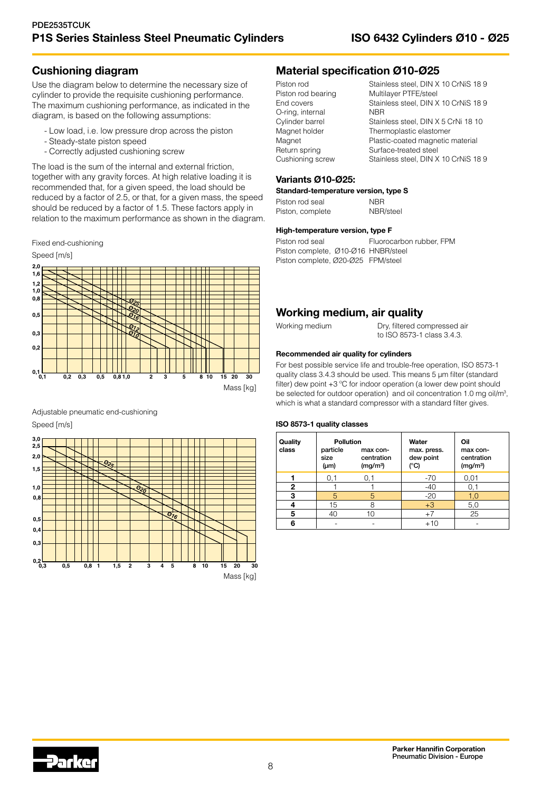# Cushioning diagram

Use the diagram below to determine the necessary size of cylinder to provide the requisite cushioning performance. The maximum cushioning performance, as indicated in the diagram, is based on the following assumptions:

- Low load, i.e. low pressure drop across the piston
- Steady-state piston speed
- Correctly adjusted cushioning screw

The load is the sum of the internal and external friction, together with any gravity forces. At high relative loading it is recommended that, for a given speed, the load should be reduced by a factor of 2.5, or that, for a given mass, the speed should be reduced by a factor of 1.5. These factors apply in relation to the maximum performance as shown in the diagram.

Fixed end-cushioning Speed [m/s]



Adjustable pneumatic end-cushioning Speed [m/s]



# Material specification Ø10-Ø25

| Piston rod         | Stainless steel, DIN X 10 CrNiS 18 9 |
|--------------------|--------------------------------------|
| Piston rod bearing | Multilayer PTFE/steel                |
| End covers         | Stainless steel, DIN X 10 CrNiS 18 9 |
| O-ring, internal   | <b>NBR</b>                           |
| Cylinder barrel    | Stainless steel, DIN X 5 CrNi 18 10  |
| Magnet holder      | Thermoplastic elastomer              |
| Magnet             | Plastic-coated magnetic material     |
| Return spring      | Surface-treated steel                |
| Cushioning screw   | Stainless steel, DIN X 10 CrNiS 18 9 |

#### Variants Ø10-Ø25:

#### Standard-temperature version, type S

| Piston rod seal  | <b>NBR</b> |
|------------------|------------|
| Piston, complete | NBR/steel  |

#### High-temperature version, type F

```
Piston rod seal Fluorocarbon rubber, FPM
Piston complete, Ø10-Ø16 HNBR/steel
Piston complete, Ø20-Ø25 FPM/steel
```
# Working medium, air quality

#### Working medium Dry, filtered compressed air to ISO 8573-1 class 3.4.3.

#### Recommended air quality for cylinders

For best possible service life and trouble-free operation, ISO 8573-1 quality class 3.4.3 should be used. This means 5 µm filter (standard filter) dew point +3 ºC for indoor operation (a lower dew point should be selected for outdoor operation) and oil concentration 1.0 mg oil/m<sup>3</sup>, which is what a standard compressor with a standard filter gives.

#### ISO 8573-1 quality classes

| Quality<br>class | <b>Pollution</b><br>particle<br>size<br>$(\mu m)$ | max con-<br>centration<br>(mg/m <sup>3</sup> ) | Water<br>max. press.<br>dew point<br>(°C) | Oil<br>max con-<br>centration<br>(mg/m <sup>3</sup> ) |
|------------------|---------------------------------------------------|------------------------------------------------|-------------------------------------------|-------------------------------------------------------|
|                  | 0,1                                               | 0.1                                            | $-70$                                     | 0,01                                                  |
| 2                |                                                   |                                                | $-40$                                     | 0,1                                                   |
| 3                | 5                                                 | 5                                              | $-20$                                     | 1.0                                                   |
| 4                | 15                                                | 8                                              | $+3$                                      | 5,0                                                   |
| 5                | 40                                                | 10                                             | $+7$                                      | 25                                                    |
| 6                |                                                   |                                                | $+10$                                     |                                                       |

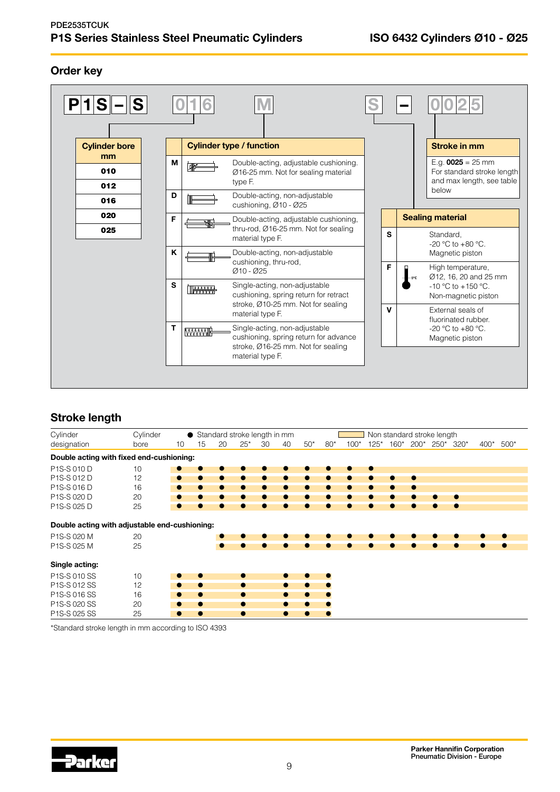# Order key



# Stroke length

| Cylinder                                                                    | Cylinder |           |           |           |           | ● Standard stroke length in mm |           |       |           |        |        |        | Non standard stroke length |        |      |      |        |
|-----------------------------------------------------------------------------|----------|-----------|-----------|-----------|-----------|--------------------------------|-----------|-------|-----------|--------|--------|--------|----------------------------|--------|------|------|--------|
| designation                                                                 | bore     | 10        | 15        | 20        | $25*$     | 30                             | 40        | $50*$ | $80*$     | $100*$ | $125*$ | $160*$ | $200*$                     | $250*$ | 320* | 400* | $500*$ |
| Double acting with fixed end-cushioning:                                    |          |           |           |           |           |                                |           |       |           |        |        |        |                            |        |      |      |        |
| P1S-S 010 D                                                                 | 10       |           |           |           |           |                                |           |       |           |        |        |        |                            |        |      |      |        |
| P1S-S 012 D                                                                 | 12       | $\bullet$ | $\bullet$ |           |           |                                |           |       |           |        |        |        | $\bullet$                  |        |      |      |        |
| P1S-S 016 D                                                                 | 16       | ۰         | $\bullet$ |           |           |                                |           |       |           |        |        |        |                            |        |      |      |        |
| P1S-S 020 D                                                                 | 20       |           |           |           |           |                                |           |       |           |        |        |        |                            |        |      |      |        |
| P1S-S 025 D                                                                 | 25       |           |           |           |           |                                |           |       |           |        |        |        |                            |        | ۰    |      |        |
| Double acting with adjustable end-cushioning:<br>P1S-S 020 M<br>P1S-S 025 M | 20<br>25 |           |           | $\bullet$ |           |                                |           |       |           |        |        |        |                            |        | ۰    |      |        |
| Single acting:                                                              |          |           |           |           |           |                                |           |       |           |        |        |        |                            |        |      |      |        |
| P1S-S 010 SS                                                                | 10       |           |           |           |           |                                |           |       |           |        |        |        |                            |        |      |      |        |
| P1S-S 012 SS                                                                | 12       | $\bullet$ | $\bullet$ |           | $\bullet$ |                                | $\bullet$ |       | $\bullet$ |        |        |        |                            |        |      |      |        |
| P1S-S 016 SS                                                                | 16       | $\bullet$ | $\bullet$ |           | $\bullet$ |                                | $\bullet$ |       | ۰         |        |        |        |                            |        |      |      |        |
| P1S-S 020 SS                                                                | 20       | $\bullet$ | $\bullet$ |           | $\bullet$ |                                | $\bullet$ | ●     | $\bullet$ |        |        |        |                            |        |      |      |        |
| P1S-S 025 SS                                                                | 25       | $\bullet$ | $\bullet$ |           | $\bullet$ |                                | $\bullet$ |       | $\bullet$ |        |        |        |                            |        |      |      |        |

\*Standard stroke length in mm according to ISO 4393

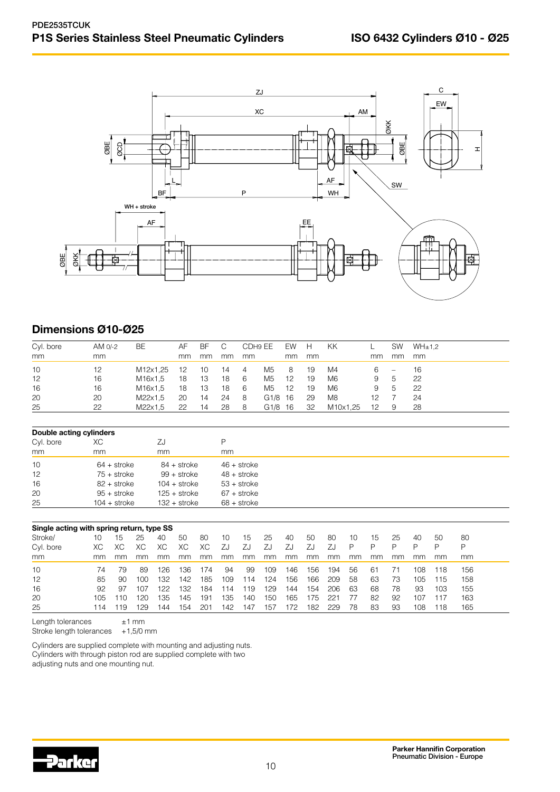

# Dimensions Ø10-Ø25

| Cyl. bore | AM 0/-2 | BE       | AF | BF  | C  | CDH9 EE |         | EW H |    | KK.      |                   | SW                       | WH±1.2 |
|-----------|---------|----------|----|-----|----|---------|---------|------|----|----------|-------------------|--------------------------|--------|
| mm        | mm      |          | mm | mm  | mm | mm      |         | mm   | mm |          | mm                | mm                       | mm     |
| 10        | 12      | M12x1,25 | 12 | 10  | 14 | 4       | M5      | 8    | 19 | M4       | 6 —               | $\overline{\phantom{m}}$ | 16     |
| 12        | 16      | M16x1,5  | 18 | 13  | 18 | - 6     | M5      | 12   | 19 | M6       | 9                 | .5                       | -22    |
| 16        | 16      | M16x1,5  | 18 | -13 | 18 | - 6     | M5      | 12   | 19 | M6       | 9                 | -5                       | -22    |
| 20        | 20      | M22x1.5  | 20 | 14  | 24 | - 8     | G1/8 16 |      | 29 | M8       | 12                |                          | 24     |
| 25        | 22      | M22x1,5  | 22 | 14  | 28 | - 8     | G1/8 16 |      | 32 | M10x1,25 | $12 \overline{ }$ | 9                        | -28    |

| Double acting cylinders |                |                |               |  |  |  |  |  |  |  |  |  |
|-------------------------|----------------|----------------|---------------|--|--|--|--|--|--|--|--|--|
| Cyl. bore               | XC.            | ΖJ             | Ρ             |  |  |  |  |  |  |  |  |  |
| mm                      | mm             | mm             | mm            |  |  |  |  |  |  |  |  |  |
| 10                      | $64 +$ stroke  | $84 +$ stroke  | $46 +$ stroke |  |  |  |  |  |  |  |  |  |
| 12                      | $75 +$ stroke  | $99 +$ stroke  | $48 +$ stroke |  |  |  |  |  |  |  |  |  |
| 16                      | 82 + stroke    | $104 +$ stroke | $53 +$ stroke |  |  |  |  |  |  |  |  |  |
| 20                      | $95 +$ stroke  | $125 +$ stroke | $67 +$ stroke |  |  |  |  |  |  |  |  |  |
| 25                      | $104 +$ stroke | $132 +$ stroke | $68 +$ stroke |  |  |  |  |  |  |  |  |  |

|           | Single acting with spring return, type SS |     |     |     |     |        |     |     |     |     |     |     |    |    |    |     |     |     |
|-----------|-------------------------------------------|-----|-----|-----|-----|--------|-----|-----|-----|-----|-----|-----|----|----|----|-----|-----|-----|
| Stroke/   | 10                                        | 15  | 25  | 40  | 50  | 80     | 10  | 15  | 25  | 40  | 50  | 80  | 10 | 15 | 25 | 40  | 50  | 80  |
| Cyl. bore | XС                                        | XC. |     | ХC  | ХC  | ХC     | ZJ  | ZJ  | ZJ  | ZJ  | ΖJ  |     | P  | ₽  | D  | P   | ₽   | D   |
| mm        | mm                                        | mm  | mm  | mm  | mm  | mm     | mm  | mm  | mm  | mm  | mm  | mm  | mm | mm | mm | mm. | mm  | mm  |
| 10        | 74                                        | 79  | 89  | 126 | 136 | '74    | 94  | 99  | 109 | 146 | 156 | 194 | 56 | 61 |    | 108 | 118 | 156 |
| 12        | 85                                        | 90  | 100 | 132 | 142 | 185    | 109 | 14  | 124 | 156 | 166 | 209 | 58 | 63 | 73 | 105 | 115 | 158 |
| 16        | 92                                        | 97  | 107 | 122 | 132 | 184    | 114 | 19  | 129 | 144 | 154 | 206 | 63 | 68 | 78 | 93  | 103 | 155 |
| 20        | 105                                       | 10  | '20 | 135 | 145 | 191    | 135 | 140 | 150 | 165 | 175 | 221 | 77 | 82 | 92 | 107 | 117 | 163 |
| 25        | 114                                       | 19  | 29  | 144 | 154 | $20 -$ | 142 | 147 | 157 | 172 | 182 | 229 | 78 | 83 | 93 | 108 | 118 | 165 |

Length tolerances  $\pm 1$  mm

Stroke length tolerances  $+1,5/0$  mm

Cylinders are supplied complete with mounting and adjusting nuts. Cylinders with through piston rod are supplied complete with two adjusting nuts and one mounting nut.

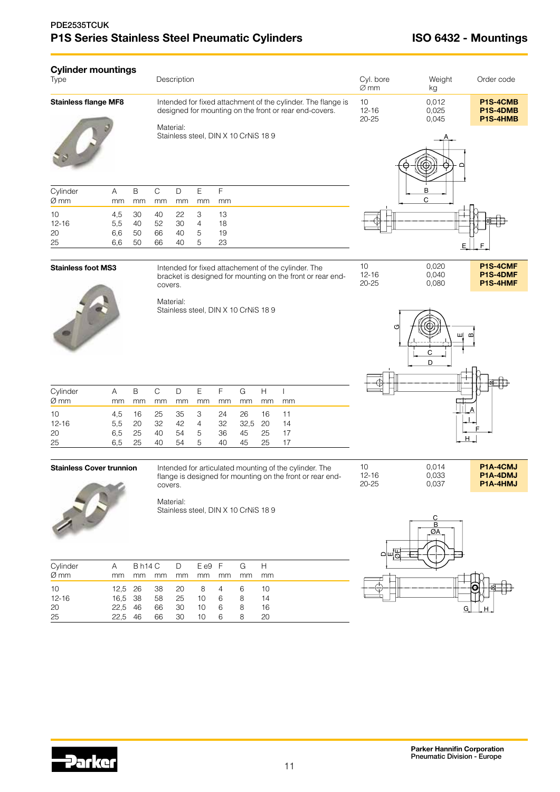# PDE2535TCUK P1S Series Stainless Steel Pneumatic Cylinders **ISO 6432 - Mountings**

| <b>Cylinder mountings</b><br>Type |     |    |    | Description |    |                                     |                                                                                                                        | Cyl. bore<br>$\varnothing$ mm | Weight<br>kg            | Order code                       |  |  |
|-----------------------------------|-----|----|----|-------------|----|-------------------------------------|------------------------------------------------------------------------------------------------------------------------|-------------------------------|-------------------------|----------------------------------|--|--|
| <b>Stainless flange MF8</b>       |     |    |    |             |    |                                     | Intended for fixed attachment of the cylinder. The flange is<br>designed for mounting on the front or rear end-covers. | 10<br>$12 - 16$<br>$20 - 25$  | 0,012<br>0,025<br>0,045 | P1S-4CMB<br>P1S-4DMB<br>P1S-4HMB |  |  |
|                                   |     |    |    | Material:   |    | Stainless steel, DIN X 10 CrNiS 189 |                                                                                                                        |                               |                         |                                  |  |  |
| Cylinder                          | A   | B  | C  | $\Box$      | E  | F                                   |                                                                                                                        |                               | в                       |                                  |  |  |
| Ø mm                              | mm  | mm | mm | mm          | mm |                                     |                                                                                                                        | C                             |                         |                                  |  |  |
| 10                                | 4,5 | 30 | 40 | 22          | 3  | 13                                  |                                                                                                                        |                               |                         |                                  |  |  |
| $12 - 16$                         | 52  | 30 | 4  | 18          |    |                                     |                                                                                                                        |                               |                         |                                  |  |  |
| 20                                | 6,6 | 50 | 66 | 40          | 5  | 19                                  |                                                                                                                        |                               |                         |                                  |  |  |
| 25                                | 66  | 40 | 5  | 23          |    |                                     |                                                                                                                        |                               |                         |                                  |  |  |
|                                   |     |    |    |             |    |                                     |                                                                                                                        |                               |                         |                                  |  |  |



**Stainless foot MS3** Intended for fixed attachement of the cylinder. The bracket is designed for mounting on the front or rear endcovers.

> Material: Stainless steel, DIN X 10 CrNiS 18 9



10 0,020 **P1S-4CMF**<br>12-16 0,040 **P1S-4DMF** 12-16 0,040 **P1S-4DMF** 20-25 0,080 **P1S-4HMF** 

| Cylinder<br>$\varnothing$ mm | A<br>mm | mm    | mm                | mm   | mm | mm | B C D E F G H I<br>mm | mm    | mm   |
|------------------------------|---------|-------|-------------------|------|----|----|-----------------------|-------|------|
| 10                           |         |       | 4.5 16 25 35 3 24 |      |    |    | 26                    | 16 11 |      |
| $12 - 16$                    | 5.5     | 20 32 |                   |      |    |    | 42 4 32 32,5 20       |       | - 14 |
| 20                           | 6.5     | 25    | 40                | 54 5 |    | 36 | 45                    | 25    | -17  |
| 25                           | 6.5     | 25    | 40                | 54 5 |    | 40 | 45                    | 25    | -17  |

#### **Stainless Cover trunnion** Intended for articulated mounting of the cylinder. The

flange is designed for mounting on the front or rear endcovers.



Material:

Stainless steel, DIN X 10 CrNiS 18 9

| Cylinder  | A       |         |       |       | Bh14 C D Ee9 F G H |     |    |    |
|-----------|---------|---------|-------|-------|--------------------|-----|----|----|
| $Ø$ mm    | mm      | mm      | mm    | mm    | mm                 | mm  | mm | mm |
| 10        |         |         |       |       | 12,5 26 38 20 8 4  |     | 6  | 10 |
| $12 - 16$ |         | 16.5 38 |       | 58 25 | 10                 | - 6 | 8  | 14 |
| 20        | 22.5 46 |         | 66    | - 30  | 10                 | 6   | 8  | 16 |
| 25        | 22.5    | 46      | 66 30 |       | 10                 | 6   | 8  | 20 |



10 0,014 **P1A-4CMJ**<br>12-16 0,033 **P1A-4DMJ** 12-16 0,033 **P1A-4DMJ**<br>20-25 0,037 **P1A-4HMJ** 

**P1A-4HMJ** 

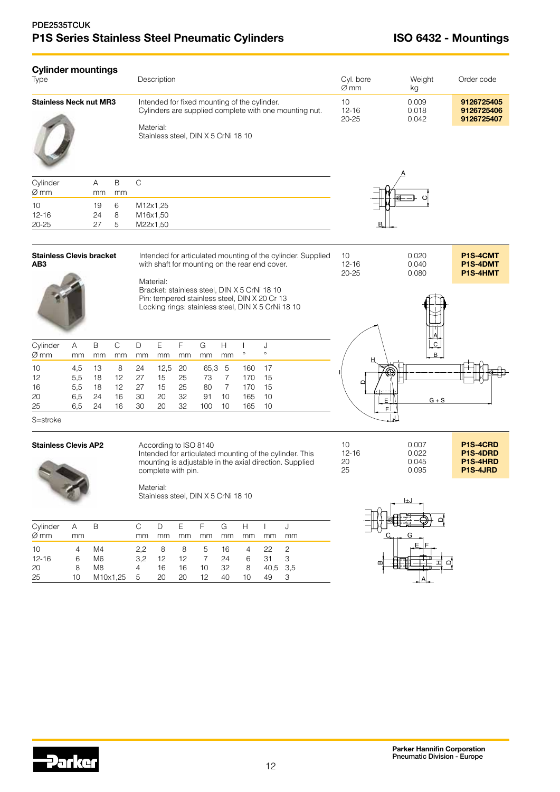# PDE2535TCUK P1S Series Stainless Steel Pneumatic Cylinders **ISO 6432 - Mountings**

| <b>Cylinder mountings</b><br>Type |                |             | Description                                                                                                                                                | Cyl. bore<br>$\varnothing$ mm | Weight<br>kg            | Order code                             |
|-----------------------------------|----------------|-------------|------------------------------------------------------------------------------------------------------------------------------------------------------------|-------------------------------|-------------------------|----------------------------------------|
| Stainless Neck nut MR3            |                |             | Intended for fixed mounting of the cylinder.<br>Cylinders are supplied complete with one mounting nut.<br>Material:<br>Stainless steel, DIN X 5 CrNi 18 10 | 10<br>$12 - 16$<br>$20 - 25$  | 0,009<br>0,018<br>0,042 | 9126725405<br>9126725406<br>9126725407 |
| Cylinder<br>Ø mm                  | A<br>mm        | B<br>mm     | C                                                                                                                                                          |                               |                         |                                        |
| 10<br>$12 - 16$<br>20-25          | 19<br>24<br>27 | 6<br>8<br>5 | M12x1,25<br>M16x1,50<br>M22x1,50                                                                                                                           | В.                            |                         |                                        |
| Stainless Clevis bracket<br>AB3   |                |             | Intended for articulated mounting of the cylinder. Supplied<br>with shaft for mounting on the rear end cover.<br>Material:                                 | 10<br>$12 - 16$<br>$20 - 25$  | 0,020<br>0,040<br>0,080 | P1S-4CMT<br>P1S-4DMT<br>P1S-4HMT       |
|                                   |                |             | Bracket: stainless steel, DIN X 5 CrNi 18 10<br>Pin: tempered stainless steel, DIN X 20 Cr 13<br>Locking rings: stainless steel, DIN X 5 CrNi 18 10        |                               |                         |                                        |

| Cylinder<br>$\varnothing$ mm | A<br>mm                                      | B<br><sub>mm</sub> | C<br>mm                            | mm                | D E F<br>mm    | mm                        | G<br>mm                   | H<br>mm       | $\circ$                     | $\circ$           |
|------------------------------|----------------------------------------------|--------------------|------------------------------------|-------------------|----------------|---------------------------|---------------------------|---------------|-----------------------------|-------------------|
| 10<br>12<br>16<br>20         | 4.5<br>$5.5^{\circ}$<br>$5.5^{\circ}$<br>6.5 | 18<br>18<br>24     | 13 8 24<br>$12 \overline{ }$<br>16 | 12 27<br>27<br>30 | 15<br>15<br>20 | 12,5 20<br>25<br>25<br>32 | 65,3 5<br>73<br>80<br>-91 | 7<br>-7<br>10 | 160 17<br>170<br>170<br>165 | -15<br>-15<br>-10 |
| 25                           | 6.5                                          | 24                 | 16                                 | 30                | 20             | -32                       | 100                       | -10           | 165                         | - 10              |



S=stroke

#### Stainless Clevis AP2 According to ISO 8140

J.

Intended for articulated mounting of the cylinder. This mounting is adjustable in the axial direction. Supplied complete with pin.





Material: Stainless steel, DIN X 5 CrNi 18 10

| Cylinder A B |    |                |           |    |     |                 |               |               | D E F G H I J |                         |  |
|--------------|----|----------------|-----------|----|-----|-----------------|---------------|---------------|---------------|-------------------------|--|
| Ø mm         | mm |                | mm.       | mm | mm  | mm              | <sub>mm</sub> | <sub>mm</sub> | mm            | mm                      |  |
| 10           | 4  | M4             | 2.2       | -8 |     | 8 5             | 16            | 4             | 22            | - 2                     |  |
| $12 - 16$    | 6  | M <sub>6</sub> | 3.2       | 12 | 12  | $7\overline{7}$ | 24            |               | 6 31          | $\overline{\mathbf{3}}$ |  |
| 20           | 8  | M <sub>8</sub> | $4 \quad$ | 16 | 16  | 10 32           |               | 8             | 40.5 3.5      |                         |  |
| 25           | 10 | M10x1,25 5     |           | 20 | -20 | 12              | 40            | 10.           | 49            | - 3                     |  |
|              |    |                |           |    |     |                 |               |               |               |                         |  |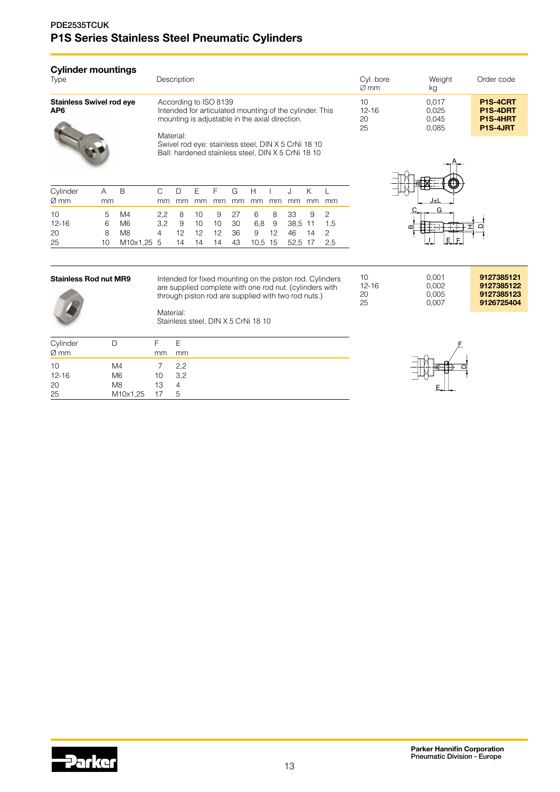# PDE2535TCUK P1S Series Stainless Steel Pneumatic Cylinders

| Cylinder mountings<br>Type      |         |   |           | Description           |    |    |         |         |                                                                                                           |    |    |    | Cyl. bore<br>$\varnothing$ mm | Weight<br>kg                     | Order code                                                |
|---------------------------------|---------|---|-----------|-----------------------|----|----|---------|---------|-----------------------------------------------------------------------------------------------------------|----|----|----|-------------------------------|----------------------------------|-----------------------------------------------------------|
| Stainless Swivel rod eye<br>AP6 |         |   | Material: | According to ISO 8139 |    |    |         |         | Intended for articulated mounting of the cylinder. This<br>mounting is adjustable in the axial direction. |    |    |    | 10<br>$12 - 16$<br>20<br>25   | 0.017<br>0,025<br>0.045<br>0.085 | P1S-4CRT<br>P <sub>1</sub> S-4DRT<br>P1S-4HRT<br>P1S-4JRT |
|                                 |         |   |           |                       |    |    |         |         | Swivel rod eye: stainless steel, DIN X 5 CrNi 18 10<br>Ball: hardened stainless steel, DIN X 5 CrNi 18 10 |    |    |    |                               |                                  |                                                           |
| Cylinder<br>Ø mm                | Α<br>mm | B | C.<br>mm  | mm                    | mm | mm | G<br>mm | Н<br>mm | mm                                                                                                        | mm | mm | mm |                               | J±L                              |                                                           |

| Ø mm      | mm |                                               |  |  |  | mm mm mm mm mm mm mm mm mm mm    |  |  |
|-----------|----|-----------------------------------------------|--|--|--|----------------------------------|--|--|
| 10        |    | 5 M4                                          |  |  |  | 2,2 8 10 9 27 6 8 33 9 2         |  |  |
| $12 - 16$ |    | 6 M6                                          |  |  |  | 3.2 9 10 10 30 6.8 9 38.5 11 1.5 |  |  |
| 20        |    | 8 M8                                          |  |  |  | 4 12 12 12 36 9 12 46 14 2       |  |  |
| 25        |    | 10 M10x1,25 5 14 14 14 43 10,5 15 52,5 17 2,5 |  |  |  |                                  |  |  |



| <b>Stainless Rod nut MR9</b> | Intended for fixed mounting on the piston rod. Cylinders<br>are supplied complete with one rod nut. (cylinders with<br>through piston rod are supplied with two rod nuts.) | 10<br>$12 - 16$<br>20<br>25 | 0.001<br>0.002<br>0.005<br>0.007 | 9127385121<br>9127385122<br>9127385123<br>9126725404 |
|------------------------------|----------------------------------------------------------------------------------------------------------------------------------------------------------------------------|-----------------------------|----------------------------------|------------------------------------------------------|
|                              | Material:<br>Stainless steel, DIN X 5 CrNi 18 10                                                                                                                           |                             |                                  |                                                      |

| Cylinder  | I)             |     | E   |
|-----------|----------------|-----|-----|
| $Ø \, mm$ |                | mm  | mm  |
| 10        | M4             |     | 2,2 |
| $12 - 16$ | M <sub>6</sub> | 10  | 3,2 |
| 20        | M <sub>8</sub> | 13  | 4   |
| 25        | M10x1,25       | -17 | 5   |



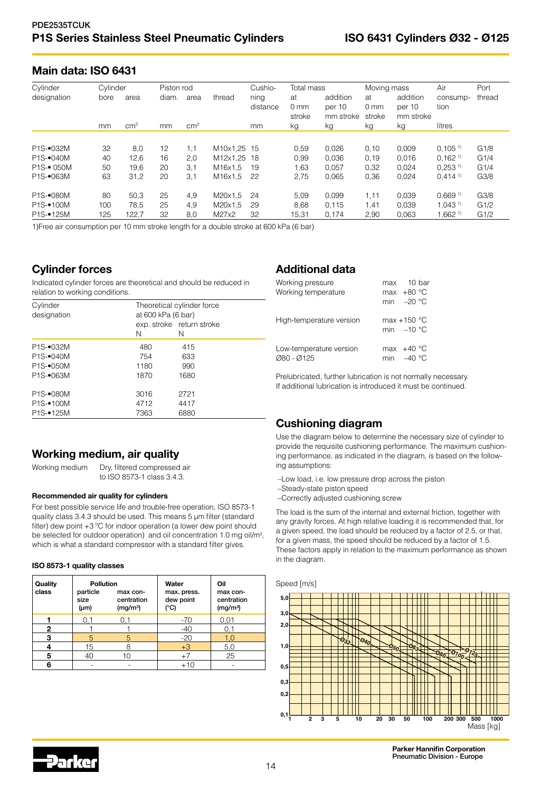# Main data: ISO 6431

| Cylinder                            | Cylinder |                 | Piston rod |                 |             | Cushio-          | Total mass                      |                                 | Moving mass                     |                                 | Air                   | Port             |
|-------------------------------------|----------|-----------------|------------|-----------------|-------------|------------------|---------------------------------|---------------------------------|---------------------------------|---------------------------------|-----------------------|------------------|
| designation                         | bore     | area            | diam.      | area            | thread      | ning<br>distance | at<br>0 <sub>mm</sub><br>stroke | addition<br>per 10<br>mm stroke | at<br>0 <sub>mm</sub><br>stroke | addition<br>per 10<br>mm stroke | consump-<br>tion      | thread           |
|                                     | mm       | cm <sup>2</sup> | mm         | cm <sup>2</sup> |             | mm               | kg                              | kg                              | kg                              | kg                              | litres                |                  |
| P <sub>1</sub> S- $\bullet$ 032M    | 32       | 8,0             | 12         | 1.1             | M10x1.25 15 |                  | 0,59                            | 0.026                           | 0.10                            | 0.009                           | 0.105 <sup>1</sup>    | G1/8             |
| $P1S-040M$                          | 40       | 12,6            | 16         | 2,0             | M12x1.25 18 |                  | 0,99                            | 0.036                           | 0,19                            | 0.016                           | 0.162 <sup>1</sup>    | G1/4             |
| <b>P1S-• 050M</b>                   | 50       | 19.6            | 20         | 3.1             | M16x1.5     | 19               | 1,63                            | 0.057                           | 0,32                            | 0.024                           | $0.253$ <sup>1)</sup> | G1/4             |
| P <sub>1</sub> S- $\bullet$ 063M    | 63       | 31,2            | 20         | 3.1             | M16x1.5     | 22               | 2,75                            | 0,065                           | 0.36                            | 0,024                           | $0.414$ <sup>1)</sup> | G <sub>3/8</sub> |
| P <sub>1</sub> S <sub>-</sub> 080M  | 80       | 50.3            | 25         | 4,9             | M20x1.5     | 24               | 5,09                            | 0.099                           | 1.11                            | 0.039                           | 0.669 <sup>1</sup>    | G <sub>3/8</sub> |
| P <sub>1</sub> S <sub>-</sub> •100M | 100      | 78.5            | 25         | 4.9             | M20x1.5     | 29               | 8.68                            | 0.115                           | .41                             | 0.039                           | 1.043 <sup>1</sup>    | G1/2             |
| P <sub>1</sub> S-•125M              | 125      | 122,7           | 32         | 8,0             | M27x2       | 32               | 15,31                           | 0.174                           | 2,90                            | 0.063                           | $1.662^{11}$          | G1/2             |

1)Free air consumption per 10 mm stroke length for a double stroke at 600 kPa (6 bar)

# Cylinder forces

Indicated cylinder forces are theoretical and should be reduced in relation to working conditions.

| P <sub>1</sub> S- $\bullet$ 032M<br>480<br>415<br>P <sub>1</sub> S- $\bullet$ 040M<br>754<br>633<br>P <sub>1</sub> S- $\bullet$ 050M<br>990<br>1180<br>P <sub>1</sub> S- $\bullet$ 063M<br>1680<br>1870<br>P <sub>1</sub> S- $\bullet$ 080M<br>2721<br>3016<br>P <sub>1</sub> S <sub>-</sub> •100M<br>4712<br>4417 | Cylinder<br>designation             | at 600 kPa (6 bar)<br>Ν | Theoretical cylinder force<br>exp. stroke return stroke<br>N |  |
|--------------------------------------------------------------------------------------------------------------------------------------------------------------------------------------------------------------------------------------------------------------------------------------------------------------------|-------------------------------------|-------------------------|--------------------------------------------------------------|--|
|                                                                                                                                                                                                                                                                                                                    |                                     |                         |                                                              |  |
|                                                                                                                                                                                                                                                                                                                    |                                     |                         |                                                              |  |
|                                                                                                                                                                                                                                                                                                                    |                                     |                         |                                                              |  |
|                                                                                                                                                                                                                                                                                                                    |                                     |                         |                                                              |  |
|                                                                                                                                                                                                                                                                                                                    |                                     |                         |                                                              |  |
|                                                                                                                                                                                                                                                                                                                    |                                     |                         |                                                              |  |
|                                                                                                                                                                                                                                                                                                                    | P <sub>1</sub> S <sub>-</sub> •125M | 7363                    | 6880                                                         |  |

# Working medium, air quality

Working medium Dry, filtered compressed air to ISO 8573-1 class 3.4.3.

#### Recommended air quality for cylinders

For best possible service life and trouble-free operation, ISO 8573-1 quality class 3.4.3 should be used. This means 5 µm filter (standard filter) dew point +3 ºC for indoor operation (a lower dew point should be selected for outdoor operation) and oil concentration 1.0 mg oil/m<sup>3</sup>, which is what a standard compressor with a standard filter gives.

#### ISO 8573-1 quality classes

| Quality<br>class | <b>Pollution</b><br>particle<br>size<br>$(\mu m)$ | max con-<br>centration<br>(mg/m <sup>3</sup> ) | Water<br>max. press.<br>dew point<br>$(^{\circ}C)$ | Oil<br>max con-<br>centration<br>(mg/m <sup>3</sup> ) |
|------------------|---------------------------------------------------|------------------------------------------------|----------------------------------------------------|-------------------------------------------------------|
|                  | 0.1                                               | 0.1                                            | $-70$                                              | 0,01                                                  |
| 2                |                                                   |                                                | $-40$                                              | 0,1                                                   |
| 3                | 5                                                 | 5                                              | $-20$                                              | 1.0                                                   |
|                  | 15                                                |                                                | $+3$                                               | 5,0                                                   |
| 5                | 40                                                | 10                                             | $+7$                                               | 25                                                    |
| հ                |                                                   |                                                | $+10$                                              |                                                       |

# Additional data

| Working pressure         | max 10 bar    |
|--------------------------|---------------|
| Working temperature      | max $+80 °C$  |
|                          | min $-20$ °C  |
| High-temperature version | max $+150$ °C |
|                          | min $-10$ °C  |
| Low-temperature version  | max $+40 °C$  |
| Ø80 - Ø125               | min $-40 °C$  |

Prelubricated, further lubrication is not normally necessary. If additional lubrication is introduced it must be continued.

# Cushioning diagram

Use the diagram below to determine the necessary size of cylinder to provide the requisite cushioning performance. The maximum cushioning performance, as indicated in the diagram, is based on the following assumptions:

- –Low load, i.e. low pressure drop across the piston
- –Steady-state piston speed

–Correctly adjusted cushioning screw

The load is the sum of the internal and external friction, together with any gravity forces. At high relative loading it is recommended that, for a given speed, the load should be reduced by a factor of 2.5, or that, for a given mass, the speed should be reduced by a factor of 1.5. These factors apply in relation to the maximum performance as shown in the diagram.



Parker Hannifin Corporation Pneumatic Division - Europe

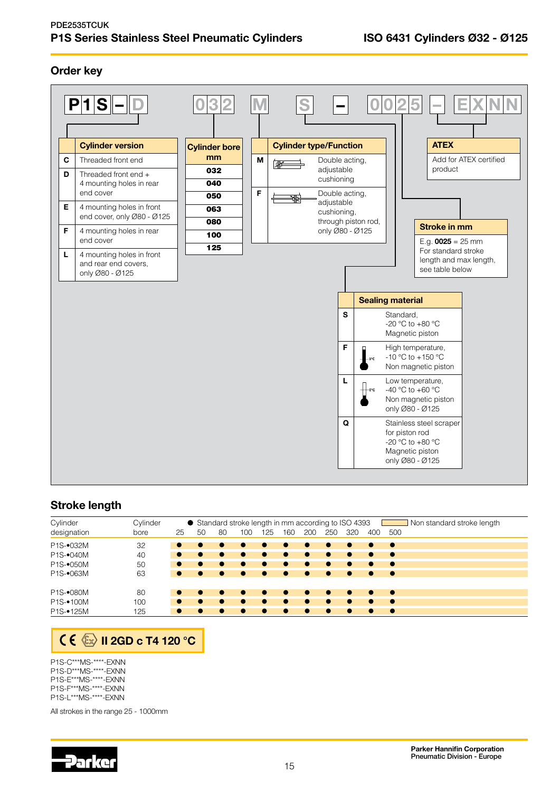# PDE2535TCUK P1S Series Stainless Steel Pneumatic Cylinders **ISO 6431 Cylinders Ø32 - Ø125**

# Order key



# Stroke length

| Cylinder               | Cylinder |           |    |    |     |           |           |           |           | ● Standard stroke length in mm according to ISO 4393 |           | Non standard stroke length |
|------------------------|----------|-----------|----|----|-----|-----------|-----------|-----------|-----------|------------------------------------------------------|-----------|----------------------------|
| designation            | bore     | 25        | 50 | 80 | 100 | 125       | 160       | 200       | 250       | 320                                                  | 400       | 500                        |
| P1S-•032M              | 32       |           |    |    |     |           | $\bullet$ |           |           | $\bullet$                                            |           | - -                        |
| P1S-•040M              | 40       |           |    |    |     |           | $\bullet$ |           |           | $\bullet$                                            | $\bullet$ | $\bullet$                  |
| P1S-•050M              | 50       |           |    |    |     |           |           |           |           | $\bullet$                                            |           | $\bullet$                  |
| P1S-•063M              | 63       | $\bullet$ |    |    |     |           | $\bullet$ | $\bullet$ | $\bullet$ | $\bullet$                                            | $\bullet$ | $\overline{\phantom{a}}$   |
| P1S-•080M              | 80       |           |    |    |     | $\bullet$ | $\bullet$ | $\bullet$ | $\bullet$ | $\bullet$                                            | $\bullet$ | $\bullet$                  |
| P <sub>1</sub> S-•100M | 100      |           |    |    |     |           |           |           |           |                                                      |           | $\bullet$                  |
| P1S-•125M              | 125      |           |    |    |     |           |           |           |           | $\bullet$                                            |           | $\bullet$                  |

# **ICE** II 2GD c T4 120 °C

P1S-C\*\*\*MS-\*\*\*\*-EXNN P1S-D\*\*\*MS-\*\*\*\*-EXNN P1S-E\*\*\*MS-\*\*\*\*-EXNN P1S-F\*\*\*MS-\*\*\*\*-EXNN P1S-L\*\*\*MS-\*\*\*\*-EXNN

All strokes in the range 25 - 1000mm

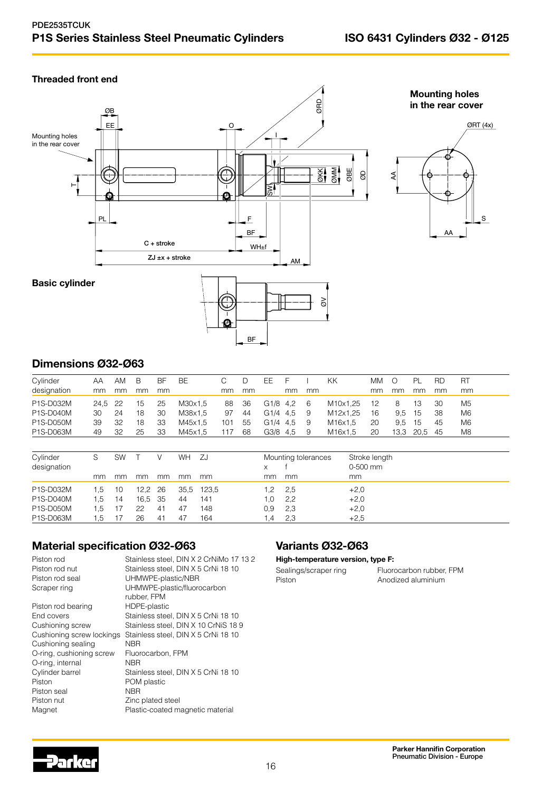# Threaded front end





Mounting holes in the rear cover



# Dimensions Ø32-Ø63

| Cylinder         | ΑA   | AM   | B  | BF | BE.     |     |     | FF.                  |            |     | ΚK       | MМ |      | PI   | <b>RD</b> | <b>RT</b>      |
|------------------|------|------|----|----|---------|-----|-----|----------------------|------------|-----|----------|----|------|------|-----------|----------------|
| designation      | mm   | mm   | mm | mm |         | mm  | mm  |                      | mm         | mm  |          | mm | mm   | mm   | mm        | mm             |
| P1S-D032M        | 24.5 | - 22 | 15 | 25 | M30x1.5 | 88  | -36 | G <sub>1/8</sub> 4.2 |            | - 6 | M10x1.25 | 12 | 8    | 13   | 30        | M5             |
| P1S-D040M        | 30   | 24   | 18 | 30 | M38x1.5 | 97  | -44 |                      | G1/4 4.5 9 |     | M12x1.25 | 16 | 9.5  | 15   | 38        | M <sub>6</sub> |
| <b>P1S-D050M</b> | 39   | 32   | 18 | 33 | M45x1.5 | 101 | 55  |                      | G1/4 4.5   | -9  | M16x1.5  | 20 | 9.5  | 15   | 45        | M6             |
| P1S-D063M        | 49   | 32   | 25 | 33 | M45x1.5 |     | 68  | G3/8                 | 4.5        | 9   | M16x1.5  | 20 | 13.3 | 20.5 | -45       | M8             |

| Cylinder<br>designation |     | SW |         |    | WH   | - ZJ  | X       | Mounting tolerances | Stroke length<br>$0-500$ mm |
|-------------------------|-----|----|---------|----|------|-------|---------|---------------------|-----------------------------|
|                         | mm  | mm | mm      | mm | mm   | mm    | mm      | mm                  | mm                          |
| P1S-D032M               | 1.5 | 10 | 12.2 26 |    | 35.5 | 123.5 | 1.2     | -2,5                | $+2,0$                      |
| P1S-D040M               | 1.5 | 14 | 16,5 35 |    | 44   | 141   | l.O     | 2,2                 | $+2,0$                      |
| P1S-D050M               | 1.5 |    | 22      | 41 | 47   | 148   | 0.9     | 2,3                 | $+2,0$                      |
| P1S-D063M               | l.5 |    | 26      | 41 | 47   | 164   | $\cdot$ | 2,3                 | $+2.5$                      |

# Material specification Ø32-Ø63

| Stainless steel, DIN X 2 CrNiMo 17 13 2 |
|-----------------------------------------|
| Stainless steel, DIN X 5 CrNi 18 10     |
| UHMWPE-plastic/NBR                      |
| UHMWPE-plastic/fluorocarbon             |
| rubber, FPM                             |
| HDPE-plastic                            |
| Stainless steel, DIN X 5 CrNi 18 10     |
| Stainless steel, DIN X 10 CrNiS 18 9    |
| Stainless steel, DIN X 5 CrNi 18 10     |
| NBR                                     |
| Fluorocarbon, FPM                       |
| <b>NBR</b>                              |
| Stainless steel, DIN X 5 CrNi 18 10     |
| POM plastic                             |
| <b>NBR</b>                              |
| Zinc plated steel                       |
| Plastic-coated magnetic material        |
|                                         |

# Variants Ø32-Ø63

#### High-temperature version, type F:

| Sealings/scraper ring | Fluorocarbon rubber, FPM |
|-----------------------|--------------------------|
| Piston                | Anodized aluminium       |

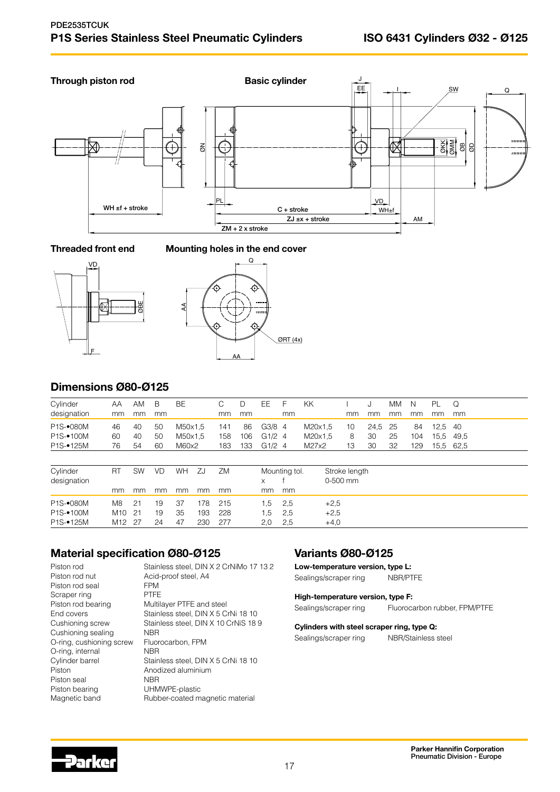

## Threaded front end Mounting holes in the end cover





# Dimensions Ø80-Ø125

| Cylinder               | AΑ              | AM        | B  | <b>BE</b> |     | C   | D   | EE       | $\vdash$      | KK      |          |               |      | <b>MM</b> | N   | PL   | Q         |  |
|------------------------|-----------------|-----------|----|-----------|-----|-----|-----|----------|---------------|---------|----------|---------------|------|-----------|-----|------|-----------|--|
| designation            | mm              | mm        | mm |           |     | mm  | mm  |          | <sub>mm</sub> |         |          | mm            | mm   | mm        | mm  | mm   | mm        |  |
| P1S-•080M              | 46              | 40        | 50 | M50x1,5   |     | 141 | 86  | $G3/8$ 4 |               | M20x1,5 |          | 10            | 24,5 | 25        | 84  | 12.5 | -40       |  |
| P <sub>1</sub> S-•100M | 60              | 40        | 50 | M50x1.5   |     | 158 | 106 | G1/24    |               | M20x1,5 |          | 8             | 30   | 25        | 104 | 15.5 | 49.5      |  |
| P1S-•125M              | 76              | 54        | 60 | M60x2     |     | 183 | 133 | G1/24    |               | M27x2   |          | 13            | 30   | 32        | 129 |      | 15,5 62,5 |  |
|                        |                 |           |    |           |     |     |     |          |               |         |          |               |      |           |     |      |           |  |
| Cylinder               | <b>RT</b>       | <b>SW</b> | VD | WH        | ZJ  | ZM  |     |          | Mounting tol. |         |          | Stroke length |      |           |     |      |           |  |
| designation            |                 |           |    |           |     |     |     | X        |               |         | 0-500 mm |               |      |           |     |      |           |  |
|                        | mm              | mm        | mm | mm        | mm  | mm  |     | mm       | mm            |         |          |               |      |           |     |      |           |  |
| P1S-•080M              | M <sub>8</sub>  | 21        | 19 | 37        | 178 | 215 |     | .5       | 2,5           |         | $+2,5$   |               |      |           |     |      |           |  |
| P <sub>1S</sub> -100M  | M <sub>10</sub> | 21        | 19 | 35        | 193 | 228 |     | .5       | 2.5           |         | $+2.5$   |               |      |           |     |      |           |  |

# Material specification Ø80-Ø125

Piston rod Stainless steel, DIN X 2 CrNiMo 17 13 2 Piston rod nut Acid-proof steel, A4 Piston rod seal FPM<br>Scraper ring FTFE Scraper ring Piston rod bearing Multilayer PTFE and steel<br>End covers Stainless steel, DIN X 5 C End covers The Stainless steel, DIN X 5 CrNi 18 10<br>Cushioning screw Stainless steel, DIN X 10 CrNiS 18 Stainless steel, DIN X 10 CrNiS 18 9 Cushioning sealing NBR<br>O-ring, cushioning screw Fluorocarbon, FPM O-ring, cushioning screw O-ring, internal NBR<br>
Cylinder barrel Stain Stainless steel, DIN X 5 CrNi 18 10 Piston **Anodized aluminium** Piston seal NBR Piston bearing UHMWPE-plastic Magnetic band **Rubber-coated magnetic material** 

P1S-•125M M12 27 24 47 230 277 2,0 2,5 +4,0

# Variants Ø80-Ø125

Low-temperature version, type L: Sealings/scraper ring NBR/PTFE

High-temperature version, type F: Sealings/scraper ring Fluorocarbon rubber, FPM/PTFE

#### Cylinders with steel scraper ring, type Q:

Sealings/scraper ring NBR/Stainless steel

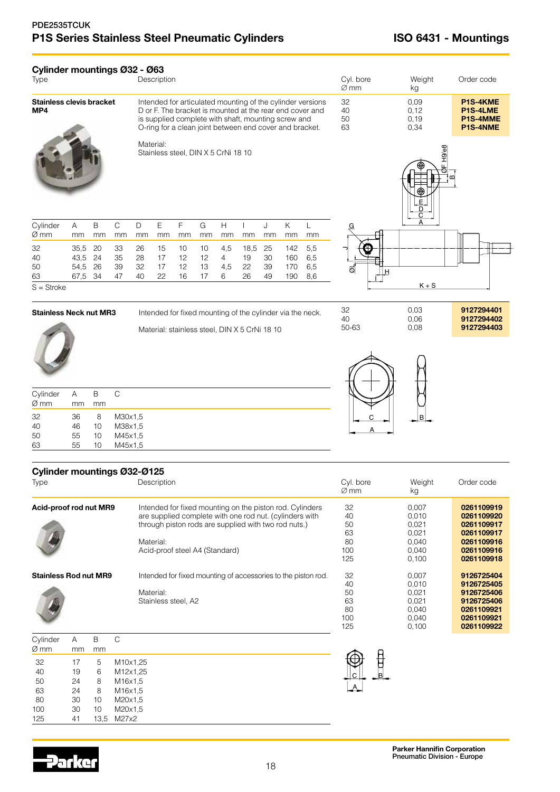| Cylinder mountings Ø32 - Ø63<br>Type   |              |             |                    |          | Description                                                                                                                                                                                                                              |         |                     |         |                                               |         |         |                                                           | Cyl. bore<br>$\varnothing$ mm | Weight<br>kg                  | Order code                                   |
|----------------------------------------|--------------|-------------|--------------------|----------|------------------------------------------------------------------------------------------------------------------------------------------------------------------------------------------------------------------------------------------|---------|---------------------|---------|-----------------------------------------------|---------|---------|-----------------------------------------------------------|-------------------------------|-------------------------------|----------------------------------------------|
| <b>Stainless clevis bracket</b><br>MP4 |              |             |                    |          | Intended for articulated mounting of the cylinder versions<br>D or F. The bracket is mounted at the rear end cover and<br>is supplied complete with shaft, mounting screw and<br>O-ring for a clean joint between end cover and bracket. |         |                     |         |                                               |         |         |                                                           | 32<br>40<br>50<br>63          | 0,09<br>0,12<br>0, 19<br>0,34 | P1S-4KME<br>P1S-4LME<br>P1S-4MME<br>P1S-4NME |
|                                        |              |             |                    |          | Material:<br>Stainless steel, DIN X 5 CrNi 18 10                                                                                                                                                                                         |         |                     |         |                                               |         |         |                                                           |                               | о ГН9/е8<br>⊕<br>E<br>D<br>C  | മ                                            |
| Cylinder<br>Ø mm                       | A<br>mm      | B<br>mm     | $\mathsf C$<br>mm  | D<br>mm  | E<br>mm                                                                                                                                                                                                                                  | F<br>mm | ${\mathsf G}$<br>mm | H<br>mm | $\mathsf{L}$<br>mm                            | J<br>mm | K<br>mm | L<br>mm                                                   |                               |                               |                                              |
| 32                                     | 35,5         | 20          | 33                 | 26       | 15                                                                                                                                                                                                                                       | 10      | 10                  | 4,5     | 18,5                                          | 25      | 142     | 5,5                                                       |                               |                               |                                              |
| 40                                     | 43,5 24      |             | 35                 | 28       | 17                                                                                                                                                                                                                                       | 12      | 12                  | 4       | 19                                            | 30      | 160     | 6,5                                                       |                               |                               |                                              |
| 50                                     | 54,5<br>67,5 | 26          | 39<br>47           | 32<br>40 | 17                                                                                                                                                                                                                                       | 12      | 13<br>17            | 4,5     | 22<br>26                                      | 39      | 170     | 6,5                                                       | ত<br>H                        |                               |                                              |
| 63<br>$S =$ Stroke                     |              | 34          |                    |          | 22                                                                                                                                                                                                                                       | 16      |                     | 6       |                                               | 49      | 190     | 8,6                                                       |                               | $K + S$                       |                                              |
| <b>Stainless Neck nut MR3</b>          |              |             |                    |          |                                                                                                                                                                                                                                          |         |                     |         | Material: stainless steel, DIN X 5 CrNi 18 10 |         |         | Intended for fixed mounting of the cylinder via the neck. | 32<br>40<br>50-63             | 0,03<br>0,06<br>0,08          | 9127294401<br>9127294402<br>9127294403       |
|                                        |              |             |                    |          |                                                                                                                                                                                                                                          |         |                     |         |                                               |         |         |                                                           |                               |                               |                                              |
| Cylinder                               | A            | $\mathsf B$ | $\mathsf C$        |          |                                                                                                                                                                                                                                          |         |                     |         |                                               |         |         |                                                           |                               |                               |                                              |
| Ø mm                                   | mm           | mm          |                    |          |                                                                                                                                                                                                                                          |         |                     |         |                                               |         |         |                                                           |                               |                               |                                              |
| 32                                     | 36           | 8           | M30x1,5            |          |                                                                                                                                                                                                                                          |         |                     |         |                                               |         |         |                                                           | С                             | в                             |                                              |
| 40                                     | 46           | 10          | M38x1,5            |          |                                                                                                                                                                                                                                          |         |                     |         |                                               |         |         |                                                           |                               |                               |                                              |
| 50<br>63                               | 55<br>55     | 10<br>10    | M45x1,5<br>M45x1,5 |          |                                                                                                                                                                                                                                          |         |                     |         |                                               |         |         |                                                           |                               |                               |                                              |
| Cylinder mountings Ø32-Ø125            |              |             |                    |          |                                                                                                                                                                                                                                          |         |                     |         |                                               |         |         |                                                           |                               |                               |                                              |
| Tyna                                   |              |             |                    |          | <b>Decorintion</b>                                                                                                                                                                                                                       |         |                     |         |                                               |         |         |                                                           | Cul hore                      | Mainht                        | Order code                                   |

| Type                         | Description                                                   | Cyl. bore<br>$\varnothing$ mm | Weight<br>kg | Order code |
|------------------------------|---------------------------------------------------------------|-------------------------------|--------------|------------|
| Acid-proof rod nut MR9       | Intended for fixed mounting on the piston rod. Cylinders      | 32                            | 0.007        | 0261109919 |
|                              | are supplied complete with one rod nut. (cylinders with       | 40                            | 0.010        | 0261109920 |
|                              | through piston rods are supplied with two rod nuts.)          | 50                            | 0.021        | 0261109917 |
|                              |                                                               | 63                            | 0.021        | 0261109917 |
|                              | Material:                                                     | 80                            | 0.040        | 0261109916 |
|                              | Acid-proof steel A4 (Standard)                                | 100                           | 0.040        | 0261109916 |
|                              |                                                               | 125                           | 0.100        | 0261109918 |
| <b>Stainless Rod nut MR9</b> | Intended for fixed mounting of accessories to the piston rod. | 32                            | 0,007        | 9126725404 |
|                              |                                                               | 40                            | 0.010        | 9126725405 |
|                              | Material:                                                     | 50                            | 0.021        | 9126725406 |
|                              | Stainless steel, A2                                           | 63                            | 0.021        | 9126725406 |
|                              |                                                               | 80                            | 0.040        | 0261109921 |
|                              |                                                               | 100                           | 0.040        | 0261109921 |
|                              |                                                               | 125                           | 0,100        | 0261109922 |

| Cylinder<br>Ø mm | mm | R<br>mm | C.       |
|------------------|----|---------|----------|
| 32               | 17 | 5       | M10x1.25 |
| 40               | 19 | 6       | M12x1.25 |
| 50               | 24 | 8       | M16x1.5  |
| 63               | 24 | 8       | M16x1.5  |
| 80               | 30 | 10      | M20x1.5  |
| 100              | 30 | 10      | M20x1.5  |
| 125              | 41 | 13.5    | M27x2    |



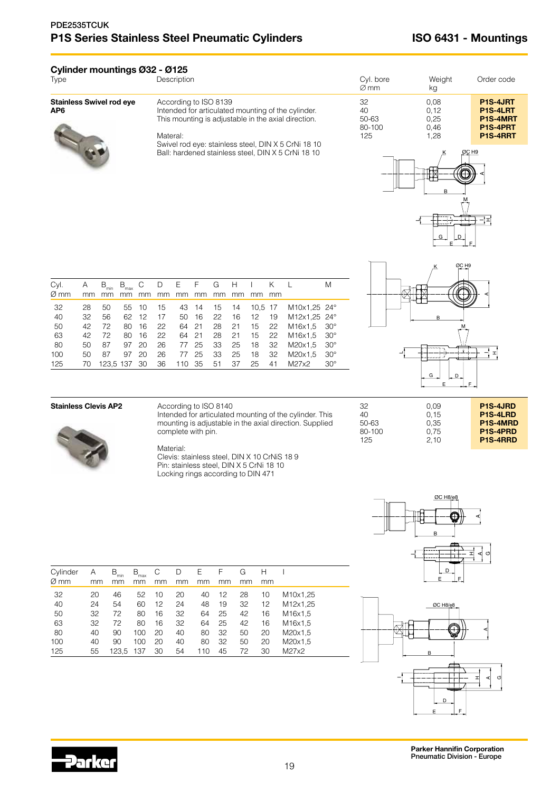# **Cylinder mountings Ø32 - Ø125**<br>Descriptic

| Type | $\sim$ $\sim$ | ∟מר | kα |  |
|------|---------------|-----|----|--|
|      |               |     |    |  |

**Stainless Swivel rod eye** A<br>**AP6** In



| Stainless Swivel rod eye | According to ISO 8139                               |
|--------------------------|-----------------------------------------------------|
| AP6                      | Intended for articulated mounting of the cylinder.  |
|                          | This mounting is adjustable in the axial direction. |

#### Materal:

Swivel rod eye: stainless steel, DIN X 5 CrNi 18 10 Ball: hardened stainless steel, DIN X 5 CrNi 18 10







| Cyl. | Α  | $B_{\text{min}}$ | $B_{\text{max}}$ | С  | D  | $E_{\rm{max}}$ | F     | G  | н  |         |    |                                  | Μ            |
|------|----|------------------|------------------|----|----|----------------|-------|----|----|---------|----|----------------------------------|--------------|
| Ø mm | mm |                  | mm               | mm | mm | mm             | mm    | mm | mm | mm      | mm |                                  |              |
| 32   | 28 | 50               | 55               | 10 | 15 | 43             | -14   | 15 | 14 | 10.5 17 |    | M10x1.25 24°                     |              |
| 40   | 32 | 56               | 62               | 12 | 17 | 50             | 16    | 22 | 16 | 12      | 19 | M12x1.25 24°                     |              |
| 50   | 42 | 72               | 80               | 16 | 22 |                | 64 21 | 28 | 21 | 15      | 22 | M <sub>16</sub> x <sub>1.5</sub> | $30^{\circ}$ |
| 63   | 42 | 72               | 80               | 16 | 22 |                | 64 21 | 28 | 21 | 15      | 22 | M <sub>16</sub> x <sub>1.5</sub> | 30°          |
| 80   | 50 | 87               | 97               | 20 | 26 | 77             | 25    | 33 | 25 | 18      | 32 | M20x1.5                          | $30^{\circ}$ |
| 100  | 50 | 87               | 97               | 20 | 26 | 77             | 25    | 33 | 25 | 18      | 32 | M20x1.5                          | $30^{\circ}$ |
| 125  | 70 | 123.5 137        |                  | 30 | 36 | 110            | -35   | 51 | 37 | 25      | 41 | M27x2                            | $30^{\circ}$ |
|      |    |                  |                  |    |    |                |       |    |    |         |    |                                  |              |



#### Stainless Clevis AP2 According to ISO 8140

Intended for articulated mounting of the cylinder. This mounting is adjustable in the axial direction. Supplied complete with pin.

| Material: |  |
|-----------|--|
|           |  |

125 55 123,5 137 30 54 110 45 72 30 M27x2

Clevis: stainless steel, DIN X 10 CrNiS 18 9 Pin: stainless steel, DIN X 5 CrNi 18 10 Locking rings according to DIN 471

| Cylinder<br>Ø mm | Α<br>mm  | $B_{\min}$<br>mm | $B_{\text{max}}$<br>mm | С<br>mm  | D<br>mm  | Е<br>mm  | F<br>mm  | G<br>mm  | Н<br>mm  |                                   |  |
|------------------|----------|------------------|------------------------|----------|----------|----------|----------|----------|----------|-----------------------------------|--|
| 32<br>40         | 20<br>24 | 46<br>54         | 52<br>60               | 10<br>12 | 20<br>24 | 40<br>48 | 12<br>19 | 28<br>32 | 10<br>12 | M <sub>10x1</sub> ,25<br>M12x1,25 |  |
| 50<br>63         | 32<br>32 | 72<br>72         | 80<br>80               | 16<br>16 | 32<br>32 | 64<br>64 | 25<br>25 | 42<br>42 | 16<br>16 | M16x1,5<br>M16x1,5                |  |
| 80<br>100        | 40<br>40 | 90<br>90         | 100<br>100             | 20<br>20 | 40<br>40 | 80<br>80 | 32<br>32 | 50<br>50 | 20<br>20 | M20x1,5<br>M20x1.5                |  |



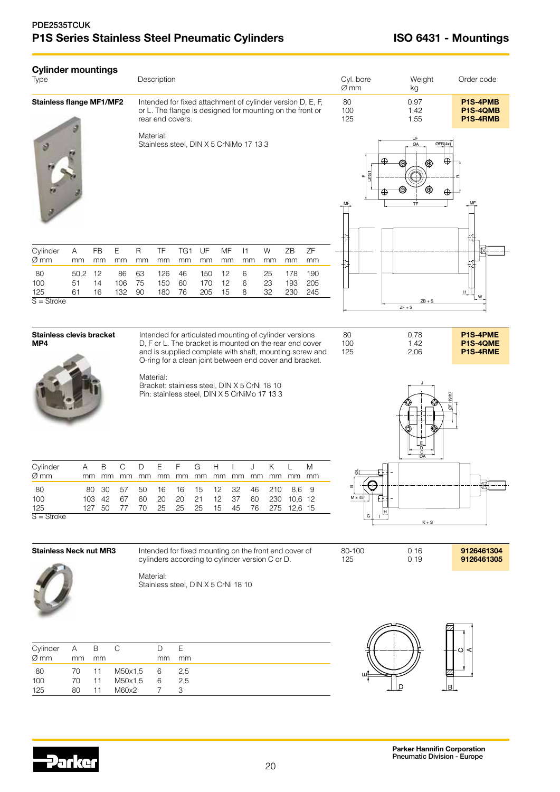# PDE2535TCUK P1S Series Stainless Steel Pneumatic Cylinders **ISO 6431 - Mountings**

| Type                             | <b>Cylinder mountings</b><br>Description |                                                                                                                                             |                  |                   |                                                                                                                   |                                                                                                          |                   |                                  |                |                |                                                                                                                    | Cyl. bore<br>$\varnothing$ mm |                            | Weight<br>kg                     |                      | Order code                       |                          |
|----------------------------------|------------------------------------------|---------------------------------------------------------------------------------------------------------------------------------------------|------------------|-------------------|-------------------------------------------------------------------------------------------------------------------|----------------------------------------------------------------------------------------------------------|-------------------|----------------------------------|----------------|----------------|--------------------------------------------------------------------------------------------------------------------|-------------------------------|----------------------------|----------------------------------|----------------------|----------------------------------|--------------------------|
| <b>Stainless flange MF1/MF2</b>  |                                          | Intended for fixed attachment of cylinder version D, E, F,<br>or L. The flange is designed for mounting on the front or<br>rear end covers. |                  |                   |                                                                                                                   |                                                                                                          |                   |                                  |                |                |                                                                                                                    | 0,97<br>1,42<br>1,55          |                            | P1S-4PMB<br>P1S-4QMB<br>P1S-4RMB |                      |                                  |                          |
|                                  |                                          | Material:<br>Stainless steel, DIN X 5 CrNiMo 17 13 3                                                                                        |                  |                   |                                                                                                                   |                                                                                                          |                   |                                  |                |                | È<br>ш                                                                                                             | क़<br>⊕                       | UF<br>ØA<br>⊕<br><b>TF</b> | OFB(4x)<br>₩<br>⊕                |                      |                                  |                          |
| Cylinder<br>Ø mm                 | A<br>mm                                  | <b>FB</b><br>mm                                                                                                                             | Ε<br>mm          | $\mathsf R$<br>mm | TF<br>mm                                                                                                          | TG <sub>1</sub><br>mm                                                                                    | UF<br>mm          | MF<br>mm                         | 1<br>mm        | W<br>mm        | ZB<br>mm                                                                                                           | ZF<br>mm                      |                            |                                  |                      |                                  |                          |
| 80<br>100<br>125<br>$S =$ Stroke | 50,2<br>51<br>61                         | 12<br>14<br>16                                                                                                                              | 86<br>106<br>132 | 63<br>75<br>90    | 126<br>150<br>180                                                                                                 | 46<br>60<br>76                                                                                           | 150<br>170<br>205 | 12<br>12<br>15                   | 6<br>6<br>8    | 25<br>23<br>32 | 178<br>193<br>230                                                                                                  | 190<br>205<br>245             |                            |                                  | $ZB + S$<br>$ZF + S$ | 1                                |                          |
|                                  |                                          |                                                                                                                                             |                  |                   |                                                                                                                   |                                                                                                          |                   |                                  |                |                |                                                                                                                    |                               |                            |                                  |                      |                                  |                          |
| Stainless clevis bracket<br>MP4  |                                          |                                                                                                                                             |                  |                   | Intended for articulated mounting of cylinder versions<br>O-ring for a clean joint between end cover and bracket. |                                                                                                          |                   |                                  |                |                | D, F or L. The bracket is mounted on the rear end cover<br>and is supplied complete with shaft, mounting screw and | 80<br>100<br>125              |                            | 0,78<br>1,42<br>2,06             |                      | P1S-4PME<br>P1S-4QME<br>P1S-4RME |                          |
|                                  |                                          |                                                                                                                                             |                  |                   | Material:                                                                                                         | Bracket: stainless steel, DIN X 5 CrNi 18 10<br>Pin: stainless steel, DIN X 5 CrNiMo 17 13 3             |                   |                                  |                |                |                                                                                                                    |                               |                            |                                  |                      |                                  |                          |
| Cylinder<br>$\varnothing$ mm     | Α                                        | Β<br>mm<br>mm                                                                                                                               | $\mathbb C$      | D                 | Ε                                                                                                                 | F<br>mm mm mm mm mm mm mm                                                                                | G                 | H                                | J              | Κ              | L<br>mm mm mm                                                                                                      | M<br>mm                       | ਨ                          |                                  |                      |                                  |                          |
| 80<br>100<br>125<br>$S =$ Stroke | 103                                      | $80\,$<br>30<br>42<br>127 50                                                                                                                | 57<br>67<br>77   | 50<br>60<br>70    | 16<br>20<br>25                                                                                                    | 16<br>20<br>25                                                                                           | 15<br>21<br>25    | 32<br>12<br>12<br>37<br>15<br>45 | 46<br>60<br>76 | 210<br>230     | 10,6 12<br>275 12,6 15                                                                                             | 8,6 9                         | $M \times 4$<br>G          | <b>h</b>                         | $K + S$              |                                  |                          |
| <b>Stainless Neck nut MR3</b>    |                                          |                                                                                                                                             |                  |                   |                                                                                                                   | Intended for fixed mounting on the front end cover of<br>cylinders according to cylinder version C or D. |                   |                                  |                |                |                                                                                                                    |                               | 80-100<br>125              |                                  | 0,16<br>0, 19        |                                  | 9126461304<br>9126461305 |
|                                  |                                          |                                                                                                                                             |                  |                   | Material:                                                                                                         | Stainless steel, DIN X 5 CrNi 18 10                                                                      |                   |                                  |                |                |                                                                                                                    |                               |                            |                                  |                      |                                  |                          |
| Cylinder                         | A                                        | $\mathsf B$                                                                                                                                 | $\mathsf C$      |                   | $\mathsf D$                                                                                                       | Ε                                                                                                        |                   |                                  |                |                |                                                                                                                    |                               |                            |                                  |                      |                                  |                          |
| Ø mm<br>80                       | mm<br>70                                 | mm<br>11                                                                                                                                    | M50x1,5          |                   | mm<br>6                                                                                                           | mm<br>2,5                                                                                                |                   |                                  |                |                |                                                                                                                    |                               |                            |                                  |                      |                                  |                          |
| 100<br>125                       | 70<br>80                                 | 11<br>11                                                                                                                                    | M50x1,5<br>M60x2 |                   | 6<br>7                                                                                                            | 2,5<br>3                                                                                                 |                   |                                  |                |                |                                                                                                                    |                               | ш                          |                                  | ₽                    | Jв.                              |                          |

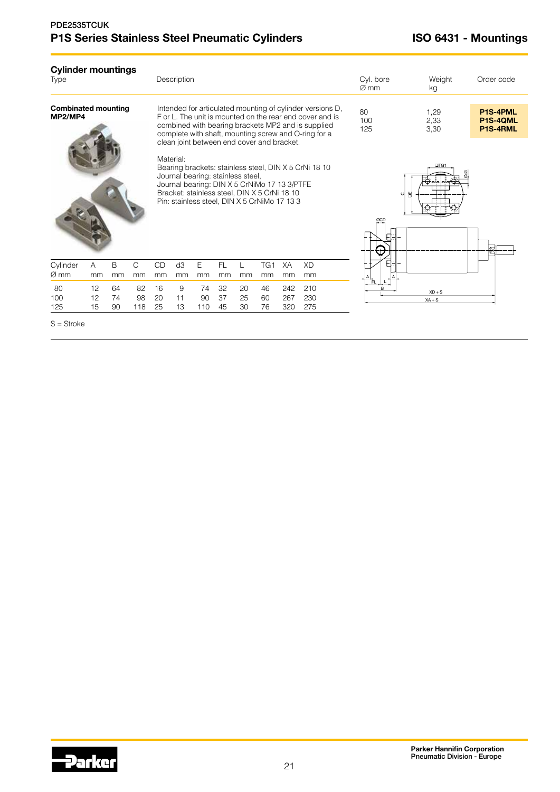# PDE2535TCUK P1S Series Stainless Steel Pneumatic Cylinders **ISO 6431 - Mountings**

| <b>Cylinder mountings</b><br><b>Type</b> |                |                |                 |                                            | Description                                                                                                                                                                                    |                 |                |                |                       |                                                                                                                                                                                                                                     |                                                       | Cyl. bore<br>$\varnothing$ mm | Weight<br>kg                            | Order code |  |  |
|------------------------------------------|----------------|----------------|-----------------|--------------------------------------------|------------------------------------------------------------------------------------------------------------------------------------------------------------------------------------------------|-----------------|----------------|----------------|-----------------------|-------------------------------------------------------------------------------------------------------------------------------------------------------------------------------------------------------------------------------------|-------------------------------------------------------|-------------------------------|-----------------------------------------|------------|--|--|
| <b>Combinated mounting</b><br>MP2/MP4    |                |                |                 | clean joint between end cover and bracket. |                                                                                                                                                                                                |                 |                |                |                       | Intended for articulated mounting of cylinder versions D,<br>F or L. The unit is mounted on the rear end cover and is<br>combined with bearing brackets MP2 and is supplied<br>complete with shaft, mounting screw and O-ring for a | 80<br>100<br>125                                      | 1,29<br>2,33<br>3,30          | <b>P1S-4PML</b><br>P1S-4QML<br>P1S-4RML |            |  |  |
|                                          |                |                |                 |                                            | Material:<br>Journal bearing: stainless steel,<br>Journal bearing: DIN X 5 CrNiMo 17 13 3/PTFE<br>Bracket: stainless steel, DIN X 5 CrNi 18 10<br>Pin: stainless steel, DIN X 5 CrNiMo 17 13 3 |                 |                |                |                       |                                                                                                                                                                                                                                     | Bearing brackets: stainless steel, DIN X 5 CrNi 18 10 | $\circ$<br>ØCD                | ⊔TG1                                    |            |  |  |
| Cylinder<br>$\varnothing$ mm             | Α<br>mm        | B<br>mm        | C<br>mm         | CD<br>mm                                   | d <sub>3</sub><br>mm                                                                                                                                                                           | Е<br>mm         | FL.<br>mm      | mm             | TG <sub>1</sub><br>mm | XA<br>mm                                                                                                                                                                                                                            | <b>XD</b><br>mm                                       |                               |                                         |            |  |  |
| 80<br>100<br>125                         | 12<br>12<br>15 | 64<br>74<br>90 | 82<br>98<br>118 | 16<br>20<br>25                             | 9<br>11<br>13                                                                                                                                                                                  | 74<br>90<br>110 | 32<br>37<br>45 | 20<br>25<br>30 | 46<br>60<br>76        | 242<br>267<br>320                                                                                                                                                                                                                   | 210<br>230<br>275                                     | R                             | $XD + S$<br>$XA + S$                    |            |  |  |

S = Stroke

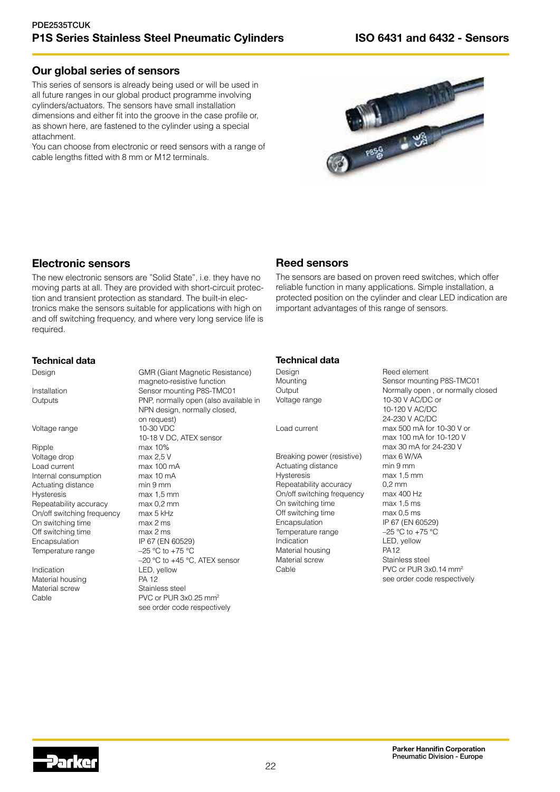# Our global series of sensors

This series of sensors is already being used or will be used in all future ranges in our global product programme involving cylinders/actuators. The sensors have small installation dimensions and either fit into the groove in the case profile or, as shown here, are fastened to the cylinder using a special attachment.

You can choose from electronic or reed sensors with a range of cable lengths fitted with 8 mm or M12 terminals.



# Electronic sensors

The new electronic sensors are "Solid State", i.e. they have no moving parts at all. They are provided with short-circuit protection and transient protection as standard. The built-in electronics make the sensors suitable for applications with high on and off switching frequency, and where very long service life is required.

# Reed sensors

The sensors are based on proven reed switches, which offer reliable function in many applications. Simple installation, a protected position on the cylinder and clear LED indication are important advantages of this range of sensors.

# Technical data

Design GMR (Giant Magnetic Resistance)

#### Voltage range 10-30 VDC

Ripple max 10% Voltage drop max 2,5 V Load current max 100 mA<br>Internal consumption max 10 mA Internal consumption Actuating distance min 9 mm Hysteresis max 1,5 mm Repeatability accuracy max 0,2 mm On/off switching frequency max 5 kHz On switching time max 2 ms Off switching time max 2 ms Encapsulation IP 67 (EN 60529) Temperature range  $-25 \degree C$  to +75  $\degree C$ 

Indication LED, yellow Material housing **PA 12** Material screw Stainless steel

magneto-resistive function Installation Sensor mounting P8S-TMC01 Outputs PNP, normally open (also available in NPN design, normally closed, on request) 10-18 V DC, ATEX sensor –20 °C to +45 °C, ATEX sensor Cable **PVC** or PUR 3x0.25 mm<sup>2</sup> see order code respectively

# Technical data

Design Reed element<br>
Mounting Communism Sensor mounting

Breaking power (resistive) max 6 W/VA Actuating distance min 9 mm Hysteresis max 1,5 mm Repeatability accuracy 0,2 mm<br>On/off switching frequency max 400 Hz On/off switching frequency On switching time max 1,5 ms Off switching time max 0,5 ms Encapsulation IP 67 (EN 60529)<br>Temperature range  $-25 °C$  to +75 °C Temperature range Indication LED, yellow<br>Material housing PA12 Material housing Material screw Stainless steel Cable PVC or PUR 3x0.14 mm<sup>2</sup>

Sensor mounting P8S-TMC01 Output **Normally open** , or normally closed Voltage range 10-30 V AC/DC or 10-120 V AC/DC 24-230 V AC/DC Load current max 500 mA for 10-30 V or max 100 mA for 10-120 V max 30 mA for 24-230 V see order code respectively

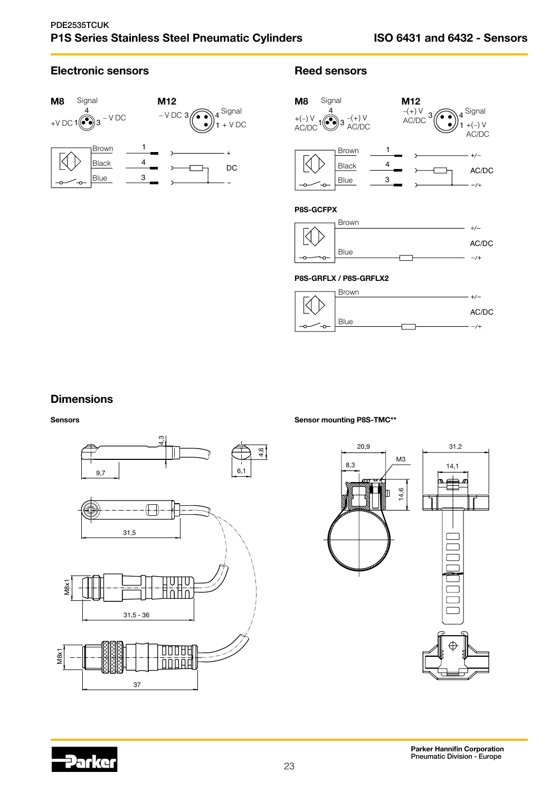$-1/2$ 

# Electronic sensors **Electronic sensors**





# **Dimensions**

Sensors



Sensor mounting P8S-TMC\*\*

Blue

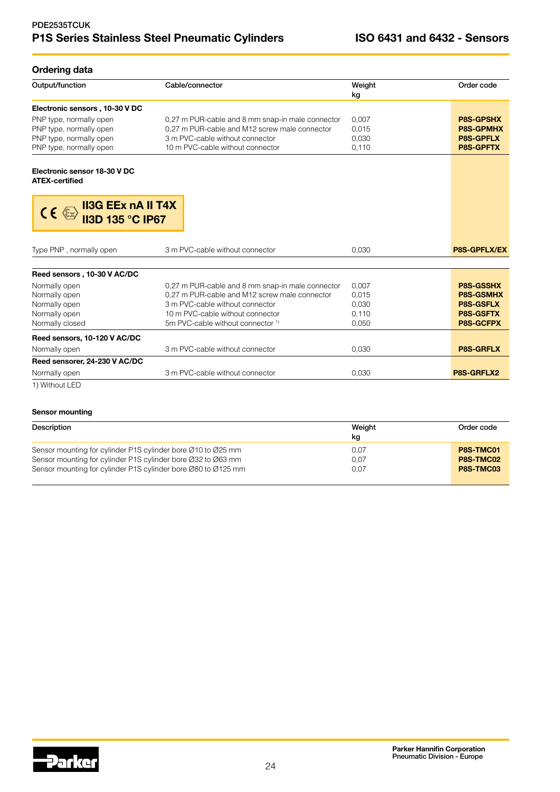# PDE2535TCUK P1S Series Stainless Steel Pneumatic Cylinders **ISO 6431 and 6432 - Sensors**

# Ordering data

| Output/function                                                            | Cable/connector                                  | Weight<br>kg | Order code          |
|----------------------------------------------------------------------------|--------------------------------------------------|--------------|---------------------|
| Electronic sensors, 10-30 V DC                                             |                                                  |              |                     |
| PNP type, normally open                                                    | 0,27 m PUR-cable and 8 mm snap-in male connector | 0.007        | <b>P8S-GPSHX</b>    |
| PNP type, normally open                                                    | 0.27 m PUR-cable and M12 screw male connector    | 0,015        | <b>P8S-GPMHX</b>    |
| PNP type, normally open                                                    | 3 m PVC-cable without connector                  | 0.030        | <b>P8S-GPFLX</b>    |
| PNP type, normally open                                                    | 10 m PVC-cable without connector                 | 0,110        | <b>P8S-GPFTX</b>    |
| Electronic sensor 18-30 V DC<br><b>ATEX-certified</b>                      |                                                  |              |                     |
| <b>II3G EEx nA II T4X</b><br>$C \in \mathbb{Z}$<br><b>II3D 135 °C IP67</b> |                                                  |              |                     |
| Type PNP, normally open                                                    | 3 m PVC-cable without connector                  | 0.030        | <b>P8S-GPFLX/EX</b> |
| Reed sensors, 10-30 V AC/DC                                                |                                                  |              |                     |
| Normally open                                                              | 0,27 m PUR-cable and 8 mm snap-in male connector | 0,007        | <b>P8S-GSSHX</b>    |
| Normally open                                                              | 0,27 m PUR-cable and M12 screw male connector    | 0.015        | <b>P8S-GSMHX</b>    |
| Normally open                                                              | 3 m PVC-cable without connector                  | 0,030        | <b>P8S-GSFLX</b>    |
| Normally open                                                              | 10 m PVC-cable without connector                 | 0.110        | <b>P8S-GSFTX</b>    |
| Normally closed                                                            | 5m PVC-cable without connector <sup>1)</sup>     | 0.050        | <b>P8S-GCFPX</b>    |
| Reed sensors, 10-120 V AC/DC                                               |                                                  |              |                     |
| Normally open                                                              |                                                  |              | <b>P8S-GRFLX</b>    |
|                                                                            | 3 m PVC-cable without connector                  | 0,030        |                     |
| Reed sensorer, 24-230 V AC/DC                                              |                                                  |              |                     |
| Normally open                                                              | 3 m PVC-cable without connector                  | 0,030        | P8S-GRFLX2          |

#### Sensor mounting

| Description                                                                                                                   | Weight<br>kg | Order code             |
|-------------------------------------------------------------------------------------------------------------------------------|--------------|------------------------|
| Sensor mounting for cylinder P1S cylinder bore Ø10 to Ø25 mm                                                                  | 0.07         | P8S-TMC01              |
| Sensor mounting for cylinder P1S cylinder bore Ø32 to Ø63 mm<br>Sensor mounting for cylinder P1S cylinder bore Ø80 to Ø125 mm | 0.07<br>0.07 | P8S-TMC02<br>P8S-TMC03 |
|                                                                                                                               |              |                        |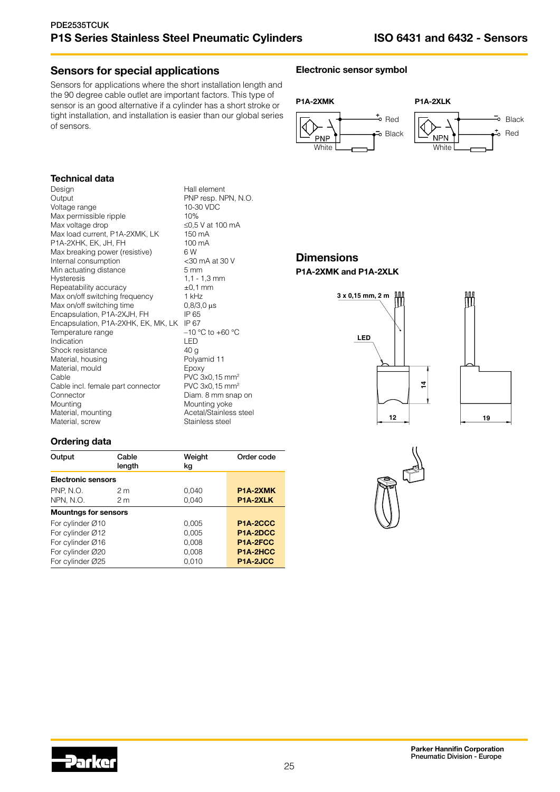# Sensors for special applications

Sensors for applications where the short installation length and the 90 degree cable outlet are important factors. This type of sensor is an good alternative if a cylinder has a short stroke or tight installation, and installation is easier than our global series of sensors.

# Electronic sensor symbol



# Technical data

| Design                              | Hall element                |
|-------------------------------------|-----------------------------|
| Output                              | PNP resp. NPN, N.O.         |
| Voltage range                       | 10-30 VDC                   |
| Max permissible ripple              | 10%                         |
| Max voltage drop                    | ≤0,5 V at 100 mA            |
| Max load current, P1A-2XMK, LK      | 150 mA                      |
| P1A-2XHK, EK, JH, FH                | 100 mA                      |
| Max breaking power (resistive)      | 6W                          |
| Internal consumption                | <30 mA at 30 V              |
| Min actuating distance              | $5 \text{ mm}$              |
| <b>Hysteresis</b>                   | $1, 1 - 1, 3$ mm            |
| Repeatability accuracy              | $\pm 0.1$ mm                |
| Max on/off switching frequency      | 1 kHz                       |
| Max on/off switching time           | $0,8/3,0$ $\mu s$           |
| Encapsulation, P1A-2XJH, FH         | IP 65                       |
| Encapsulation, P1A-2XHK, EK, MK, LK | IP 67                       |
| Temperature range                   | $-10$ °C to +60 °C          |
| Indication                          | LED                         |
| Shock resistance                    | 40 <sub>q</sub>             |
| Material, housing                   | Polyamid 11                 |
| Material, mould                     | Epoxy                       |
| Cable                               | PVC 3x0, 15 mm <sup>2</sup> |
| Cable incl. female part connector   | PVC 3x0, 15 mm <sup>2</sup> |
| Connector                           | Diam. 8 mm snap on          |
| Mounting                            | Mounting yoke               |
| Material, mounting                  | Acetal/Stainless steel      |
| Material, screw                     | Stainless steel             |
|                                     |                             |







# Ordering data

| Output                      | Cable<br>length | Weight<br>kq | Order code            |
|-----------------------------|-----------------|--------------|-----------------------|
| <b>Electronic sensors</b>   |                 |              |                       |
| <b>PNP, N.O.</b>            | 2 <sub>m</sub>  | 0,040        | P <sub>1</sub> A-2XMK |
| NPN, N.O.                   | 2 <sub>m</sub>  | 0,040        | P1A-2XLK              |
| <b>Mountngs for sensors</b> |                 |              |                       |
| For cylinder Ø10            |                 | 0.005        | P1A-2CCC              |
| For cylinder Ø12            |                 | 0.005        | P1A-2DCC              |
| For cylinder Ø16            |                 | 0,008        | P1A-2FCC              |
| For cylinder Ø20            |                 | 0,008        | P <sub>1</sub> A-2HCC |
| For cylinder Ø25            |                 | 0.010        | P1A-2JCC              |



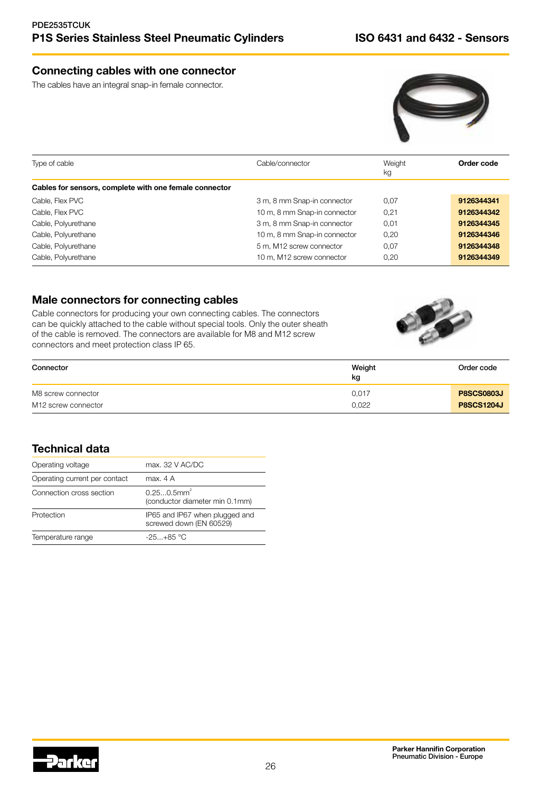# Connecting cables with one connector

The cables have an integral snap-in female connector.



| Type of cable                                          | Cable/connector              | Weight<br>kg | Order code |
|--------------------------------------------------------|------------------------------|--------------|------------|
| Cables for sensors, complete with one female connector |                              |              |            |
| Cable, Flex PVC                                        | 3 m, 8 mm Snap-in connector  | 0.07         | 9126344341 |
| Cable, Flex PVC                                        | 10 m, 8 mm Snap-in connector | 0.21         | 9126344342 |
| Cable, Polyurethane                                    | 3 m, 8 mm Snap-in connector  | 0,01         | 9126344345 |
| Cable, Polyurethane                                    | 10 m, 8 mm Snap-in connector | 0.20         | 9126344346 |
| Cable, Polyurethane                                    | 5 m, M12 screw connector     | 0.07         | 9126344348 |
| Cable, Polyurethane                                    | 10 m, M12 screw connector    | 0.20         | 9126344349 |

# Male connectors for connecting cables

Cable connectors for producing your own connecting cables. The connectors can be quickly attached to the cable without special tools. Only the outer sheath of the cable is removed. The connectors are available for M8 and M12 screw connectors and meet protection class IP 65.



| Connector           | Weight<br>kg | Order code        |
|---------------------|--------------|-------------------|
| M8 screw connector  | 0.017        | <b>P8SCS0803J</b> |
| M12 screw connector | 0,022        | <b>P8SCS1204J</b> |

# Technical data

| Operating voltage             | max. 32 V AC/DC                                             |
|-------------------------------|-------------------------------------------------------------|
| Operating current per contact | max. 4 A                                                    |
| Connection cross section      | $0.250.5$ mm <sup>2</sup><br>(conductor diameter min 0.1mm) |
| Protection                    | IP65 and IP67 when plugged and<br>screwed down (EN 60529)   |
| Temperature range             | $-25+85$ °C                                                 |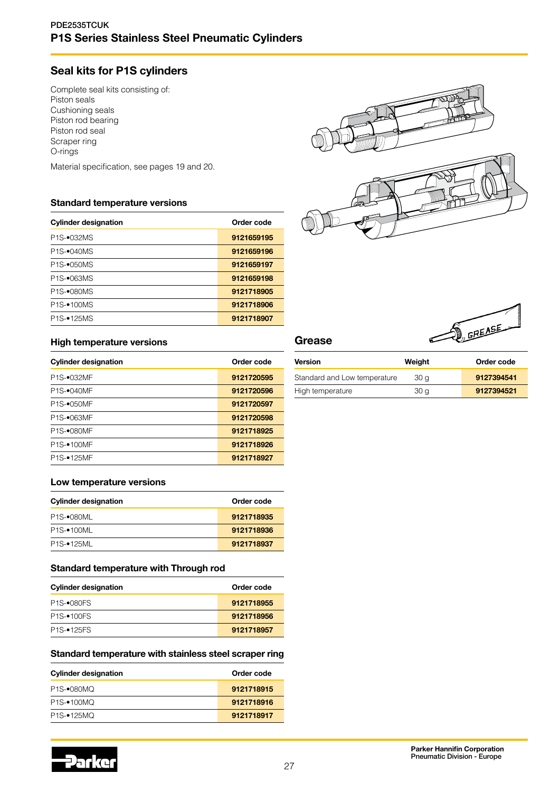# PDE2535TCUK P1S Series Stainless Steel Pneumatic Cylinders

# Seal kits for P1S cylinders

Complete seal kits consisting of: Piston seals Cushioning seals Piston rod bearing Piston rod seal Scraper ring O-rings

Material specification, see pages 19 and 20.

# Standard temperature versions

| <b>Cylinder designation</b> | Order code |
|-----------------------------|------------|
| P1S-•032MS                  | 9121659195 |
| P <sub>1</sub> S-•040MS     | 9121659196 |
| P <sub>1</sub> S-•050MS     | 9121659197 |
| P <sub>1</sub> S-•063MS     | 9121659198 |
| P <sub>1S</sub> -080MS      | 9121718905 |
| P <sub>1</sub> S-•100MS     | 9121718906 |
| P <sub>1</sub> S-•125MS     | 9121718907 |



#### High temperature versions

| <b>Cylinder designation</b> | Order code |
|-----------------------------|------------|
| P1S-•032MF                  | 9121720595 |
| P1S-•040MF                  | 9121720596 |
| P1S-•050MF                  | 9121720597 |
| P1S-•063MF                  | 9121720598 |
| P1S-•080MF                  | 9121718925 |
| P <sub>1S</sub> -100MF      | 9121718926 |
| P1S-•125MF                  | 9121718927 |

#### Low temperature versions

| <b>Cylinder designation</b>          | Order code |  |  |
|--------------------------------------|------------|--|--|
| P1S-•080ML                           | 9121718935 |  |  |
| P <sub>1</sub> S <sub>-</sub> •100ML | 9121718936 |  |  |
| P <sub>1</sub> S <sub>-</sub> •125ML | 9121718937 |  |  |

### Standard temperature with Through rod

| <b>Cylinder designation</b> | Order code |  |  |
|-----------------------------|------------|--|--|
| P <sub>1</sub> S-•080FS     | 9121718955 |  |  |
| <b>P1S-•100FS</b>           | 9121718956 |  |  |
| <b>P1S-•125FS</b>           | 9121718957 |  |  |

#### Standard temperature with stainless steel scraper ring

| <b>Cylinder designation</b>       | Order code |
|-----------------------------------|------------|
| P <sub>1</sub> S- $\bullet$ 080MQ | 9121718915 |
| P <sub>1</sub> S-•100MQ           | 9121718916 |
| P <sub>1</sub> S-•125MQ           | 9121718917 |



# Grease

| <b>Version</b>               | Weight | Order code |
|------------------------------|--------|------------|
| Standard and Low temperature | 30 a   | 9127394541 |
| High temperature             | 30 a   | 9127394521 |

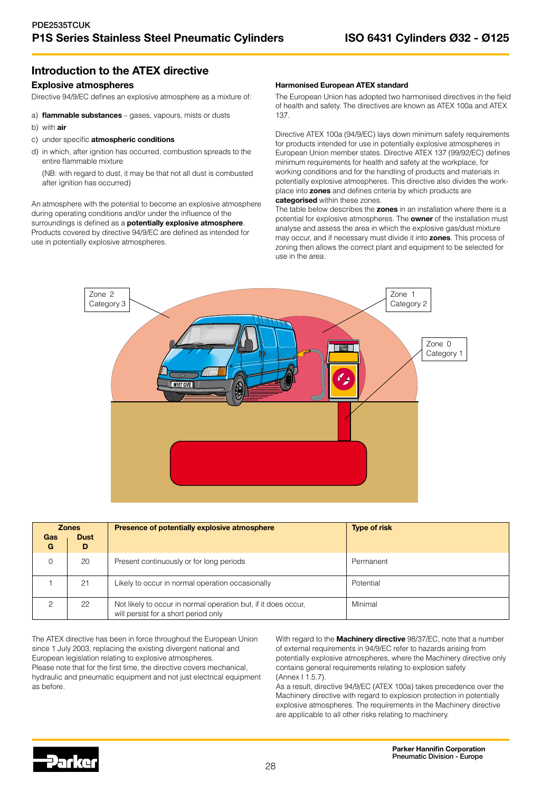# Introduction to the ATEX directive

#### Explosive atmospheres

Directive 94/9/EC defines an explosive atmosphere as a mixture of:

- a) flammable substances gases, vapours, mists or dusts
- b) with air
- c) under specific atmospheric conditions
- d) in which, after ignition has occurred, combustion spreads to the entire flammable mixture

(NB: with regard to dust, it may be that not all dust is combusted after ignition has occurred)

An atmosphere with the potential to become an explosive atmosphere during operating conditions and/or under the influence of the surroundings is defined as a **potentially explosive atmosphere**. Products covered by directive 94/9/EC are defined as intended for use in potentially explosive atmospheres.

#### Harmonised European ATEX standard

The European Union has adopted two harmonised directives in the field of health and safety. The directives are known as ATEX 100a and ATEX 137.

Directive ATEX 100a (94/9/EC) lays down minimum safety requirements for products intended for use in potentially explosive atmospheres in European Union member states. Directive ATEX 137 (99/92/EC) defines minimum requirements for health and safety at the workplace, for working conditions and for the handling of products and materials in potentially explosive atmospheres. This directive also divides the workplace into zones and defines criteria by which products are categorised within these zones.

The table below describes the zones in an installation where there is a potential for explosive atmospheres. The **owner** of the installation must analyse and assess the area in which the explosive gas/dust mixture may occur, and if necessary must divide it into zones. This process of zoning then allows the correct plant and equipment to be selected for use in the area.



| Gas<br>G                                                                                                                | <b>Zones</b><br><b>Dust</b><br>D                       | Presence of potentially explosive atmosphere | <b>Type of risk</b> |
|-------------------------------------------------------------------------------------------------------------------------|--------------------------------------------------------|----------------------------------------------|---------------------|
|                                                                                                                         | 20                                                     | Present continuously or for long periods     | Permanent           |
|                                                                                                                         | Likely to occur in normal operation occasionally<br>21 |                                              | Potential           |
| Minimal<br>22<br>Not likely to occur in normal operation but, if it does occur,<br>will persist for a short period only |                                                        |                                              |                     |

The ATEX directive has been in force throughout the European Union since 1 July 2003, replacing the existing divergent national and European legislation relating to explosive atmospheres. Please note that for the first time, the directive covers mechanical, hydraulic and pneumatic equipment and not just electrical equipment as before.

With regard to the **Machinery directive** 98/37/EC, note that a number of external requirements in 94/9/EC refer to hazards arising from potentially explosive atmospheres, where the Machinery directive only contains general requirements relating to explosion safety (Annex I 1.5.7).

As a result, directive 94/9/EC (ATEX 100a) takes precedence over the Machinery directive with regard to explosion protection in potentially explosive atmospheres. The requirements in the Machinery directive are applicable to all other risks relating to machinery.

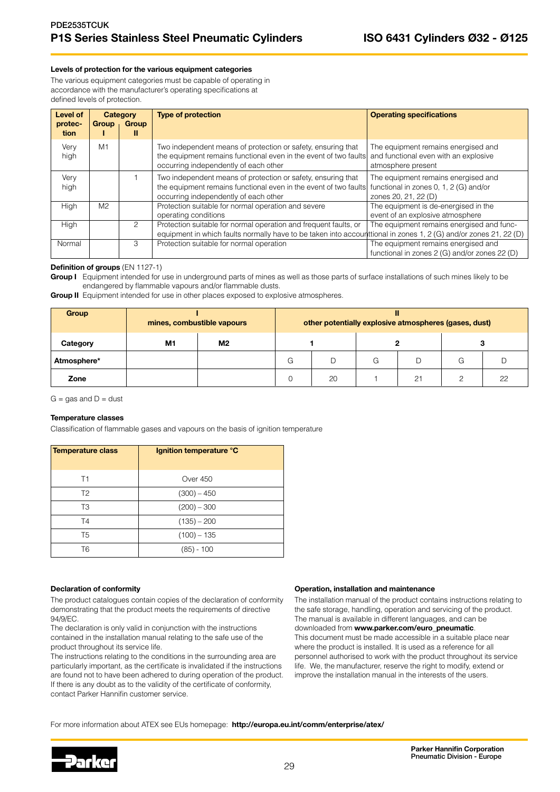#### Levels of protection for the various equipment categories

The various equipment categories must be capable of operating in accordance with the manufacturer's operating specifications at defined levels of protection.

| Level of<br>protec-<br>tion | <b>Group</b>   | Category<br>Group<br>Ш | <b>Type of protection</b>                                                                                                                                                            | <b>Operating specifications</b>                                                                       |
|-----------------------------|----------------|------------------------|--------------------------------------------------------------------------------------------------------------------------------------------------------------------------------------|-------------------------------------------------------------------------------------------------------|
| Very<br>high                | M <sub>1</sub> |                        | Two independent means of protection or safety, ensuring that<br>the equipment remains functional even in the event of two faults<br>occurring independently of each other            | The equipment remains energised and<br>and functional even with an explosive<br>atmosphere present    |
| Very<br>high                |                |                        | Two independent means of protection or safety, ensuring that<br>the equipment remains functional even in the event of two faults<br>occurring independently of each other            | The equipment remains energised and<br>functional in zones 0, 1, 2 (G) and/or<br>zones 20, 21, 22 (D) |
| High                        | M <sub>2</sub> |                        | Protection suitable for normal operation and severe<br>operating conditions                                                                                                          | The equipment is de-energised in the<br>event of an explosive atmosphere                              |
| High                        |                | 2                      | Protection suitable for normal operation and frequent faults, or<br>equipment in which faults normally have to be taken into accounttional in zones 1, 2 (G) and/or zones 21, 22 (D) | The equipment remains energised and func-                                                             |
| Normal                      |                | 3                      | Protection suitable for normal operation                                                                                                                                             | The equipment remains energised and<br>functional in zones 2 (G) and/or zones 22 (D)                  |

#### Definition of groups (EN 1127-1)

Group I Equipment intended for use in underground parts of mines as well as those parts of surface installations of such mines likely to be endangered by flammable vapours and/or flammable dusts.

**Group II** Equipment intended for use in other places exposed to explosive atmospheres.

| Group       | mines, combustible vapours |                | other potentially explosive atmospheres (gases, dust) |    |   |    |   |    |
|-------------|----------------------------|----------------|-------------------------------------------------------|----|---|----|---|----|
| Category    | M <sub>1</sub>             | M <sub>2</sub> |                                                       |    |   |    |   |    |
| Atmosphere* |                            |                | G                                                     | D  | G | D  | G |    |
| Zone        |                            |                |                                                       | 20 |   | 21 |   | 22 |

 $G = gas$  and  $D = dust$ 

#### Temperature classes

Classification of flammable gases and vapours on the basis of ignition temperature

| Temperature class | Ignition temperature °C |
|-------------------|-------------------------|
| T1                | Over 450                |
| T <sub>2</sub>    | $(300) - 450$           |
| T3                | $(200) - 300$           |
| T <sub>4</sub>    | $(135) - 200$           |
| T <sub>5</sub>    | $(100) - 135$           |
| Т6                | $(85) - 100$            |

#### Declaration of conformity

The product catalogues contain copies of the declaration of conformity demonstrating that the product meets the requirements of directive 94/9/EC.

The declaration is only valid in conjunction with the instructions contained in the installation manual relating to the safe use of the product throughout its service life.

The instructions relating to the conditions in the surrounding area are particularly important, as the certificate is invalidated if the instructions are found not to have been adhered to during operation of the product. If there is any doubt as to the validity of the certificate of conformity, contact Parker Hannifin customer service.

#### Operation, installation and maintenance

The installation manual of the product contains instructions relating to the safe storage, handling, operation and servicing of the product. The manual is available in different languages, and can be downloaded from www.parker.com/euro\_pneumatic. This document must be made accessible in a suitable place near where the product is installed. It is used as a reference for all personnel authorised to work with the product throughout its service life. We, the manufacturer, reserve the right to modify, extend or improve the installation manual in the interests of the users.

For more information about ATEX see EUs homepage: http://europa.eu.int/comm/enterprise/atex/

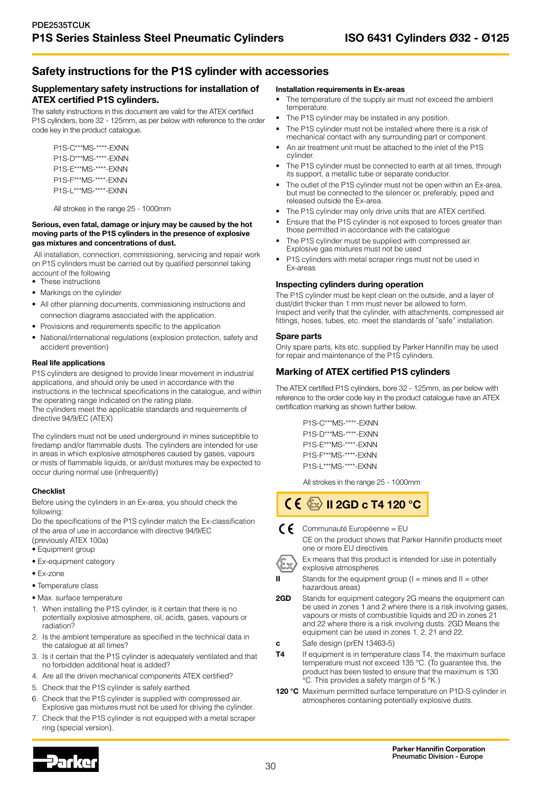# Safety instructions for the P1S cylinder with accessories

### Supplementary safety instructions for installation of ATEX certified P1S cylinders.

The safety instructions in this document are valid for the ATEX certified P1S cylinders, bore 32 - 125mm, as per below with reference to the order code key in the product catalogue.

P1S-C\*\*\*MS-\*\*\*\*-EXNN P1S-D\*\*\*MS-\*\*\*\*-EXNN P1S-E\*\*\*MS-\*\*\*\*-EXNN P1S-F\*\*\*MS-\*\*\*\*-EXNN P1S-L\*\*\*MS-\*\*\*\*-EXNN

All strokes in the range 25 - 1000mm

#### Serious, even fatal, damage or injury may be caused by the hot moving parts of the P1S cylinders in the presence of explosive gas mixtures and concentrations of dust.

 All installation, connection, commissioning, servicing and repair work on P1S cylinders must be carried out by qualified personnel taking account of the following

- These instructions
- Markings on the cylinder
- All other planning documents, commissioning instructions and connection diagrams associated with the application.
- Provisions and requirements specific to the application
- National/international regulations (explosion protection, safety and accident prevention)

#### Real life applications

P1S cylinders are designed to provide linear movement in industrial applications, and should only be used in accordance with the instructions in the technical specifications in the catalogue, and within the operating range indicated on the rating plate. The cylinders meet the applicable standards and requirements of directive 94/9/EC (ATEX)

The cylinders must not be used underground in mines susceptible to firedamp and/or flammable dusts. The cylinders are intended for use in areas in which explosive atmospheres caused by gases, vapours or mists of flammable liquids, or air/dust mixtures may be expected to occur during normal use (infrequently)

#### **Checklist**

Before using the cylinders in an Ex-area, you should check the following:

Do the specifications of the P1S cylinder match the Ex-classification of the area of use in accordance with directive 94/9/EC (previously ATEX 100a)

- Equipment group
- Ex-equipment category
- Ex-zone
- Temperature class
- Max. surface temperature
- 1. When installing the P1S cylinder, is it certain that there is no potentially explosive atmosphere, oil, acids, gases, vapours or radiation?
- 2. Is the ambient temperature as specified in the technical data in the catalogue at all times?
- 3. Is it certain that the P1S cylinder is adequately ventilated and that no forbidden additional heat is added?
- 4. Are all the driven mechanical components ATEX certified?
- 5. Check that the P1S cylinder is safely earthed.
- 6. Check that the P1S cylinder is supplied with compressed air. Explosive gas mixtures must not be used for driving the cylinder.
- 7. Check that the P1S cylinder is not equipped with a metal scraper ring (special version).

#### Installation requirements in Ex-areas

- The temperature of the supply air must not exceed the ambient temperature.
- The P1S cylinder may be installed in any position.
- The P1S cylinder must not be installed where there is a risk of mechanical contact with any surrounding part or component.
- An air treatment unit must be attached to the inlet of the P1S cylinder.
- The P1S cylinder must be connected to earth at all times, through its support, a metallic tube or separate conductor.
- The outlet of the P1S cylinder must not be open within an Ex-area, but must be connected to the silencer or, preferably, piped and released outside the Ex-area.
- The P1S cylinder may only drive units that are ATEX certified.
- Ensure that the P1S cylinder is not exposed to forces greater than those permitted in accordance with the catalogue
- The P1S cylinder must be supplied with compressed air. Explosive gas mixtures must not be used
- P1S cylinders with metal scraper rings must not be used in Ex-areas

#### Inspecting cylinders during operation

The P1S cylinder must be kept clean on the outside, and a layer of dust/dirt thicker than 1 mm must never be allowed to form. Inspect and verify that the cylinder, with attachments, compressed air fittings, hoses, tubes, etc. meet the standards of "safe" installation.

#### Spare parts

Only spare parts, kits etc. supplied by Parker Hannifin may be used for repair and maintenance of the P1S cylinders.

# Marking of ATEX certified P1S cylinders

The ATEX certified P1S cylinders, bore 32 - 125mm, as per below with reference to the order code key in the product catalogue have an ATEX certification marking as shown further below.

> P1S-C\*\*\*MS-\*\*\*\*-EXNN P1S-D\*\*\*MS-\*\*\*\*-EXNN P1S-E\*\*\*MS-\*\*\*\*-EXNN P1S-F\*\*\*MS-\*\*\*\*-EXNN P1S-L\*\*\*MS-\*\*\*\*-EXNN

All strokes in the range 25 - 1000mm

 $\mathsf{C}\in\mathbb{C}\mathbb{R}$  II 2GD c T4 120 °C

 $\bigcap$  Communauté Européenne = EU



Ex means that this product is intended for use in potentially explosive atmospheres

- $II$  Stands for the equipment group ( $I =$  mines and  $II =$  other hazardous areas)
- **2GD** Stands for equipment category 2G means the equipment can be used in zones 1 and 2 where there is a risk involving gases, vapours or mists of combustible liquids and 2D in zones 21 and 22 where there is a risk involving dusts. 2GD Means the equipment can be used in zones 1, 2, 21 and 22.
- c Safe design (prEN 13463-5)
- **T4** If equipment is in temperature class T4, the maximum surface temperature must not exceed 135 °C. (To guarantee this, the product has been tested to ensure that the maximum is 130 °C. This provides a safety margin of 5 °K.)
- 120 °C Maximum permitted surface temperature on P1D-S cylinder in atmospheres containing potentially explosive dusts.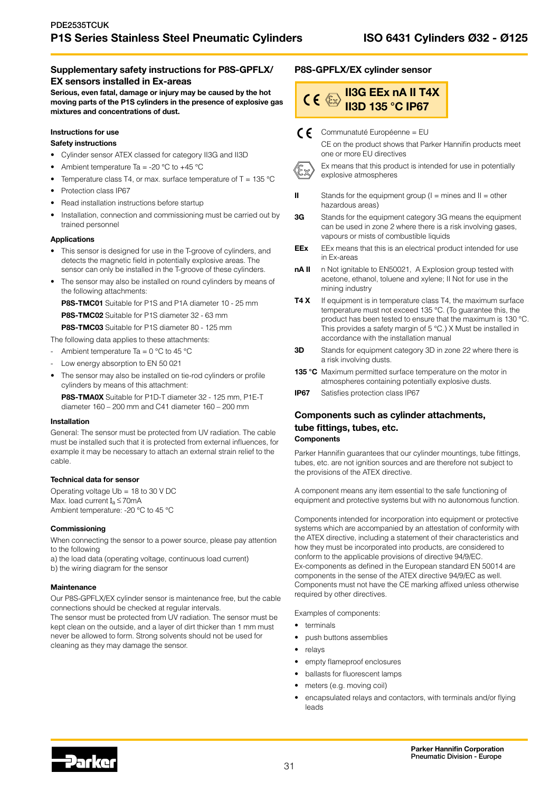### Supplementary safety instructions for P8S-GPFLX/ EX sensors installed in Ex-areas

Serious, even fatal, damage or injury may be caused by the hot moving parts of the P1S cylinders in the presence of explosive gas mixtures and concentrations of dust.

# Instructions for use

# Safety instructions

- Cylinder sensor ATEX classed for category II3G and II3D
- Ambient temperature Ta = -20  $^{\circ}$ C to +45  $^{\circ}$ C
- Temperature class T4, or max. surface temperature of T = 135  $^{\circ}$ C
- Protection class IP67
- Read installation instructions before startup
- Installation, connection and commissioning must be carried out by trained personnel

#### Applications

- This sensor is designed for use in the T-groove of cylinders, and detects the magnetic field in potentially explosive areas. The sensor can only be installed in the T-groove of these cylinders.
- The sensor may also be installed on round cylinders by means of the following attachments:

P8S-TMC01 Suitable for P1S and P1A diameter 10 - 25 mm

P8S-TMC02 Suitable for P1S diameter 32 - 63 mm

P8S-TMC03 Suitable for P1S diameter 80 - 125 mm

The following data applies to these attachments:

- Ambient temperature Ta =  $0^{\circ}$ C to 45 °C
- Low energy absorption to EN 50 021
- The sensor may also be installed on tie-rod cylinders or profile cylinders by means of this attachment:

P8S-TMA0X Suitable for P1D-T diameter 32 - 125 mm, P1E-T diameter 160 – 200 mm and C41 diameter 160 – 200 mm

#### Installation

General: The sensor must be protected from UV radiation. The cable must be installed such that it is protected from external influences, for example it may be necessary to attach an external strain relief to the cable.

#### Technical data for sensor

Operating voltage Ub = 18 to 30 V DC Max. load current  $I_a \le 70$ mA Ambient temperature: -20 °C to 45 °C

#### **Commissioning**

When connecting the sensor to a power source, please pay attention to the following

a) the load data (operating voltage, continuous load current) b) the wiring diagram for the sensor

#### **Maintenance**

Our P8S-GPFLX/EX cylinder sensor is maintenance free, but the cable connections should be checked at regular intervals.

The sensor must be protected from UV radiation. The sensor must be kept clean on the outside, and a layer of dirt thicker than 1 mm must never be allowed to form. Strong solvents should not be used for cleaning as they may damage the sensor.

#### P8S-GPFLX/EX cylinder sensor

#### II3G EEx nA II T4X  $CE \otimes$ II3D 135 °C IP67

Communatuté Européenne = EU



CE on the product shows that Parker Hannifin products meet one or more EU directives



Ex means that this product is intended for use in potentially explosive atmospheres

- II Stands for the equipment group  $(I = \text{mines} \text{ and } II = \text{other}$ hazardous areas)
- **3G** Stands for the equipment category 3G means the equipment can be used in zone 2 where there is a risk involving gases, vapours or mists of combustible liquids
- **EEx** EEx means that this is an electrical product intended for use in Ex-areas
- nA II n Not ignitable to EN50021, A Explosion group tested with acetone, ethanol, toluene and xylene; II Not for use in the mining industry
- T4 X If equipment is in temperature class T4, the maximum surface temperature must not exceed 135 °C. (To guarantee this, the product has been tested to ensure that the maximum is 130 °C. This provides a safety margin of 5 °C.) X Must be installed in accordance with the installation manual
- **3D** Stands for equipment category 3D in zone 22 where there is a risk involving dusts.
- 135 °C Maximum permitted surface temperature on the motor in atmospheres containing potentially explosive dusts.
- **IP67** Satisfies protection class IP67

### Components such as cylinder attachments, tube fittings, tubes, etc. **Components**

Parker Hannifin guarantees that our cylinder mountings, tube fittings, tubes, etc. are not ignition sources and are therefore not subject to the provisions of the ATEX directive.

A component means any item essential to the safe functioning of equipment and protective systems but with no autonomous function.

Components intended for incorporation into equipment or protective systems which are accompanied by an attestation of conformity with the ATEX directive, including a statement of their characteristics and how they must be incorporated into products, are considered to conform to the applicable provisions of directive 94/9/EC. Ex-components as defined in the European standard EN 50014 are components in the sense of the ATEX directive 94/9/EC as well. Components must not have the CE marking affixed unless otherwise required by other directives.

Examples of components:

- terminals
- push buttons assemblies
- relays
- empty flameproof enclosures
- ballasts for fluorescent lamps
- meters (e.g. moving coil)
- encapsulated relays and contactors, with terminals and/or flying leads